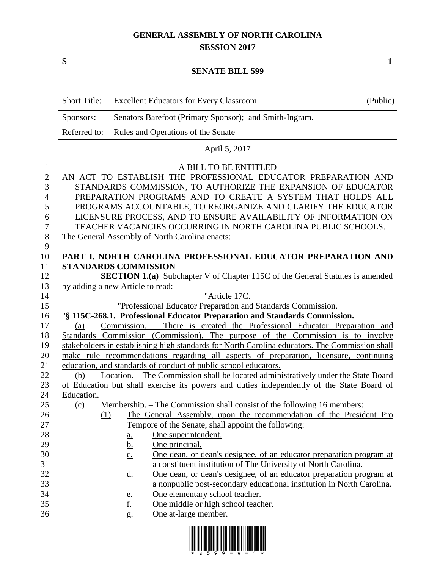# **GENERAL ASSEMBLY OF NORTH CAROLINA SESSION 2017**

**S 1**

#### **SENATE BILL 599**

|              | <b>Short Title:</b> |                                  | Excellent Educators for Every Classroom.                                                       | (Public) |
|--------------|---------------------|----------------------------------|------------------------------------------------------------------------------------------------|----------|
|              | Sponsors:           |                                  | Senators Barefoot (Primary Sponsor); and Smith-Ingram.                                         |          |
|              | Referred to:        |                                  | Rules and Operations of the Senate                                                             |          |
|              |                     |                                  | April 5, 2017                                                                                  |          |
| 1            |                     |                                  | A BILL TO BE ENTITLED                                                                          |          |
| $\mathbf{2}$ |                     |                                  | AN ACT TO ESTABLISH THE PROFESSIONAL EDUCATOR PREPARATION AND                                  |          |
| 3            |                     |                                  | STANDARDS COMMISSION, TO AUTHORIZE THE EXPANSION OF EDUCATOR                                   |          |
| 4            |                     |                                  | PREPARATION PROGRAMS AND TO CREATE A SYSTEM THAT HOLDS ALL                                     |          |
| 5            |                     |                                  | PROGRAMS ACCOUNTABLE, TO REORGANIZE AND CLARIFY THE EDUCATOR                                   |          |
| 6            |                     |                                  | LICENSURE PROCESS, AND TO ENSURE AVAILABILITY OF INFORMATION ON                                |          |
| 7            |                     |                                  | TEACHER VACANCIES OCCURRING IN NORTH CAROLINA PUBLIC SCHOOLS.                                  |          |
| 8            |                     |                                  | The General Assembly of North Carolina enacts:                                                 |          |
| 9            |                     |                                  |                                                                                                |          |
| 10           |                     |                                  | PART I. NORTH CAROLINA PROFESSIONAL EDUCATOR PREPARATION AND                                   |          |
| 11           |                     | <b>STANDARDS COMMISSION</b>      |                                                                                                |          |
| 12           |                     |                                  | <b>SECTION 1.(a)</b> Subchapter V of Chapter 115C of the General Statutes is amended           |          |
| 13           |                     | by adding a new Article to read: |                                                                                                |          |
| 14           |                     |                                  | "Article 17C.                                                                                  |          |
| 15           |                     |                                  | "Professional Educator Preparation and Standards Commission.                                   |          |
| 16           |                     |                                  | "§ 115C-268.1. Professional Educator Preparation and Standards Commission.                     |          |
| 17           | (a)                 |                                  | Commission. – There is created the Professional Educator Preparation and                       |          |
| 18           |                     |                                  | Standards Commission (Commission). The purpose of the Commission is to involve                 |          |
| 19           |                     |                                  | stakeholders in establishing high standards for North Carolina educators. The Commission shall |          |
| 20           |                     |                                  | make rule recommendations regarding all aspects of preparation, licensure, continuing          |          |
| 21           |                     |                                  | education, and standards of conduct of public school educators.                                |          |
| 22           | (b)                 |                                  | Location. – The Commission shall be located administratively under the State Board             |          |
| 23           |                     |                                  | of Education but shall exercise its powers and duties independently of the State Board of      |          |
| 24           | Education.          |                                  |                                                                                                |          |
| 25           | (c)                 |                                  | <u>Membership. – The Commission shall consist of the following 16 members:</u>                 |          |
| 26           |                     |                                  | (1) The General Assembly, upon the recommendation of the President Pro                         |          |
| 27           |                     |                                  | Tempore of the Senate, shall appoint the following:                                            |          |
| 28           |                     | <u>a.</u>                        | One superintendent.                                                                            |          |
| 29           |                     | <u>b.</u>                        | One principal.                                                                                 |          |
| 30           |                     | $\underline{c}$ .                | <u>One dean, or dean's designee, of an educator preparation program at</u>                     |          |
| 31           |                     |                                  | a constituent institution of The University of North Carolina.                                 |          |
| 32           |                     | $\underline{\mathrm{d}}$ .       | <u>One dean, or dean's designee, of an educator preparation program at</u>                     |          |
| 33           |                     |                                  | a nonpublic post-secondary educational institution in North Carolina.                          |          |
| 34           |                     | $\frac{e}{f}$                    | One elementary school teacher.                                                                 |          |
| 35           |                     |                                  | One middle or high school teacher.                                                             |          |
| 36           |                     | g.                               | One at-large member.                                                                           |          |

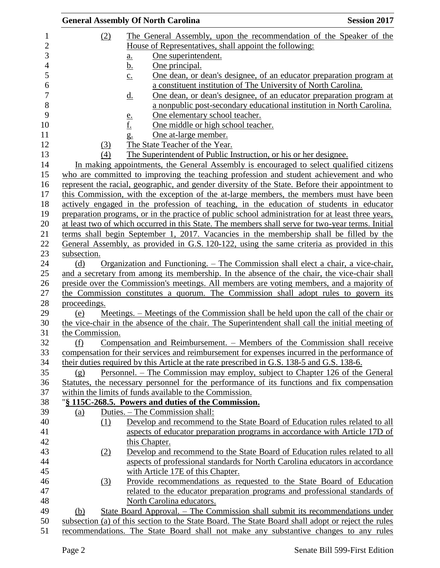|                 | <b>General Assembly Of North Carolina</b>                                                          | <b>Session 2017</b> |
|-----------------|----------------------------------------------------------------------------------------------------|---------------------|
| (2)             | The General Assembly, upon the recommendation of the Speaker of the                                |                     |
|                 | House of Representatives, shall appoint the following:                                             |                     |
|                 | One superintendent.<br>$\underline{a}$ .                                                           |                     |
|                 | <u>b.</u><br>One principal.                                                                        |                     |
|                 | One dean, or dean's designee, of an educator preparation program at<br>$\underline{c}$ .           |                     |
|                 | a constituent institution of The University of North Carolina.                                     |                     |
|                 | One dean, or dean's designee, of an educator preparation program at<br>$\underline{\mathrm{d}}$ .  |                     |
|                 | a nonpublic post-secondary educational institution in North Carolina.                              |                     |
|                 | One elementary school teacher.                                                                     |                     |
|                 | $\frac{e}{f}$<br>One middle or high school teacher.                                                |                     |
|                 | One at-large member.<br>$\overline{\mathbf{g}}$ .                                                  |                     |
| (3)             | The State Teacher of the Year.                                                                     |                     |
| (4)             | The Superintendent of Public Instruction, or his or her designee.                                  |                     |
|                 | In making appointments, the General Assembly is encouraged to select qualified citizens            |                     |
|                 | who are committed to improving the teaching profession and student achievement and who             |                     |
|                 | represent the racial, geographic, and gender diversity of the State. Before their appointment to   |                     |
|                 | this Commission, with the exception of the at-large members, the members must have been            |                     |
|                 | actively engaged in the profession of teaching, in the education of students in educator           |                     |
|                 | preparation programs, or in the practice of public school administration for at least three years, |                     |
|                 | at least two of which occurred in this State. The members shall serve for two-year terms. Initial  |                     |
|                 | terms shall begin September 1, 2017. Vacancies in the membership shall be filled by the            |                     |
|                 | General Assembly, as provided in G.S. 120-122, using the same criteria as provided in this         |                     |
| subsection.     |                                                                                                    |                     |
| (d)             | <u> Organization and Functioning. – The Commission shall elect a chair, a vice-chair,</u>          |                     |
|                 | and a secretary from among its membership. In the absence of the chair, the vice-chair shall       |                     |
|                 | preside over the Commission's meetings. All members are voting members, and a majority of          |                     |
|                 | the Commission constitutes a quorum. The Commission shall adopt rules to govern its                |                     |
| proceedings.    |                                                                                                    |                     |
| (e)             | Meetings. – Meetings of the Commission shall be held upon the call of the chair or                 |                     |
|                 | the vice-chair in the absence of the chair. The Superintendent shall call the initial meeting of   |                     |
| the Commission. |                                                                                                    |                     |
| (f)             | Compensation and Reimbursement. – Members of the Commission shall receive                          |                     |
|                 | compensation for their services and reimbursement for expenses incurred in the performance of      |                     |
|                 | their duties required by this Article at the rate prescribed in G.S. 138-5 and G.S. 138-6.         |                     |
| (g)             | Personnel. – The Commission may employ, subject to Chapter 126 of the General                      |                     |
|                 | Statutes, the necessary personnel for the performance of its functions and fix compensation        |                     |
|                 | within the limits of funds available to the Commission.                                            |                     |
|                 | "§ 115C-268.5. Powers and duties of the Commission.                                                |                     |
| (a)             | Duties. – The Commission shall:                                                                    |                     |
| (1)             | Develop and recommend to the State Board of Education rules related to all                         |                     |
|                 | aspects of educator preparation programs in accordance with Article 17D of                         |                     |
|                 | this Chapter.                                                                                      |                     |
| (2)             | Develop and recommend to the State Board of Education rules related to all                         |                     |
|                 | aspects of professional standards for North Carolina educators in accordance                       |                     |
|                 | with Article 17E of this Chapter.                                                                  |                     |
| (3)             | Provide recommendations as requested to the State Board of Education                               |                     |
|                 | related to the educator preparation programs and professional standards of                         |                     |
|                 | North Carolina educators.                                                                          |                     |
| (b)             | State Board Approval. – The Commission shall submit its recommendations under                      |                     |
|                 | subsection (a) of this section to the State Board. The State Board shall adopt or reject the rules |                     |
|                 | recommendations. The State Board shall not make any substantive changes to any rules               |                     |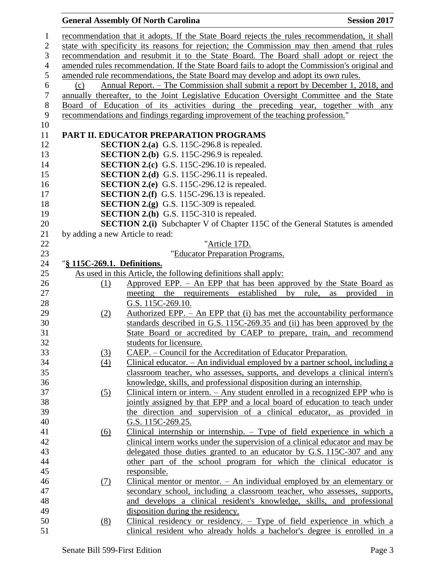# **General Assembly Of North Carolina Session 2017**

| recommendation that it adopts. If the State Board rejects the rules recommendation, it shall<br>$\mathbf{1}$                     |                      |
|----------------------------------------------------------------------------------------------------------------------------------|----------------------|
| state with specificity its reasons for rejection; the Commission may then amend that rules<br>$\mathbf{2}$                       |                      |
| 3<br>recommendation and resubmit it to the State Board. The Board shall adopt or reject the                                      |                      |
| $\overline{4}$<br>amended rules recommendation. If the State Board fails to adopt the Commission's original and                  |                      |
| 5<br>amended rule recommendations, the State Board may develop and adopt its own rules.                                          |                      |
| 6<br>Annual Report. – The Commission shall submit a report by December 1, 2018, and<br>(c)                                       |                      |
| $\boldsymbol{7}$<br>annually thereafter, to the Joint Legislative Education Oversight Committee and the State                    |                      |
| $8\,$<br>Board of Education of its activities during the preceding year, together with any                                       |                      |
| 9<br>recommendations and findings regarding improvement of the teaching profession."                                             |                      |
| 10                                                                                                                               |                      |
| 11<br>PART II. EDUCATOR PREPARATION PROGRAMS                                                                                     |                      |
| 12<br><b>SECTION 2.(a)</b> G.S. 115C-296.8 is repealed.                                                                          |                      |
| <b>SECTION 2.(b)</b> G.S. 115C-296.9 is repealed.<br>13                                                                          |                      |
| <b>SECTION 2.(c)</b> G.S. 115C-296.10 is repealed.<br>14                                                                         |                      |
| SECTION 2.(d) G.S. 115C-296.11 is repealed.<br>15                                                                                |                      |
| <b>SECTION 2.(e)</b> G.S. 115C-296.12 is repealed.<br>16                                                                         |                      |
| <b>SECTION 2.(f)</b> G.S. 115C-296.13 is repealed.<br>17                                                                         |                      |
| <b>SECTION 2.(g)</b> G.S. 115C-309 is repealed.<br>18                                                                            |                      |
| <b>SECTION 2.(h)</b> G.S. 115C-310 is repealed.<br>19                                                                            |                      |
| <b>SECTION 2.(i)</b> Subchapter V of Chapter 115C of the General Statutes is amended<br>20                                       |                      |
| 21<br>by adding a new Article to read:                                                                                           |                      |
| 22<br>"Article 17D.                                                                                                              |                      |
| 23<br>"Educator Preparation Programs.                                                                                            |                      |
| 24<br>"§ 115C-269.1. Definitions.                                                                                                |                      |
| 25<br>As used in this Article, the following definitions shall apply:                                                            |                      |
| Approved EPP. - An EPP that has been approved by the State Board as<br>26<br>(1)                                                 |                      |
| meeting the requirements established by rule,<br>27                                                                              | provided<br>as<br>in |
| G.S. 115C-269.10.<br>28                                                                                                          |                      |
| Authorized EPP. $-$ An EPP that (i) has met the accountability performance<br>29<br>(2)                                          |                      |
| 30<br>standards described in G.S. 115C-269.35 and (ii) has been approved by the                                                  |                      |
| State Board or accredited by CAEP to prepare, train, and recommend<br>31                                                         |                      |
| 32<br>students for licensure.                                                                                                    |                      |
| CAEP. - Council for the Accreditation of Educator Preparation.<br>33<br>(3)                                                      |                      |
| 34<br>Clinical educator. $-$ An individual employed by a partner school, including a<br>(4)                                      |                      |
| 35<br>classroom teacher, who assesses, supports, and develops a clinical intern's                                                |                      |
| 36<br>knowledge, skills, and professional disposition during an internship.                                                      |                      |
| 37<br>Clinical intern or intern. $-$ Any student enrolled in a recognized EPP who is<br>(5)                                      |                      |
| 38<br>jointly assigned by that EPP and a local board of education to teach under                                                 |                      |
| 39<br>the direction and supervision of a clinical educator, as provided in                                                       |                      |
| 40<br>G.S. 115C-269.25.                                                                                                          |                      |
| 41<br>Clinical internship or internship. $-$ Type of field experience in which a<br>(6)                                          |                      |
| clinical intern works under the supervision of a clinical educator and may be<br>42                                              |                      |
| 43<br>delegated those duties granted to an educator by G.S. 115C-307 and any                                                     |                      |
| 44<br>other part of the school program for which the clinical educator is                                                        |                      |
| 45<br>responsible.                                                                                                               |                      |
| 46<br>Clinical mentor or mentor. $-$ An individual employed by an elementary or<br>(7)                                           |                      |
| 47<br>secondary school, including a classroom teacher, who assesses, supports,                                                   |                      |
| 48<br>and develops a clinical resident's knowledge, skills, and professional                                                     |                      |
|                                                                                                                                  |                      |
|                                                                                                                                  |                      |
| 49<br>disposition during the residency.<br>Clinical residency or residency. $-$ Type of field experience in which a<br>50<br>(8) |                      |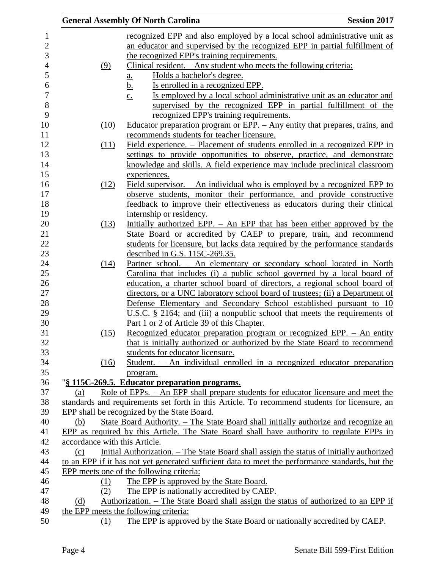|                               |      | <b>General Assembly Of North Carolina</b>                                                                         | <b>Session 2017</b> |
|-------------------------------|------|-------------------------------------------------------------------------------------------------------------------|---------------------|
|                               |      | recognized EPP and also employed by a local school administrative unit as                                         |                     |
|                               |      | an educator and supervised by the recognized EPP in partial fulfillment of                                        |                     |
|                               |      | the recognized EPP's training requirements.                                                                       |                     |
|                               | (9)  | Clinical resident. $-$ Any student who meets the following criteria:                                              |                     |
|                               |      | Holds a bachelor's degree.<br><u>a.</u>                                                                           |                     |
|                               |      | <u>b.</u><br>Is enrolled in a recognized EPP.                                                                     |                     |
|                               |      | Is employed by a local school administrative unit as an educator and<br>$\underline{c}$ .                         |                     |
|                               |      | supervised by the recognized EPP in partial fulfillment of the                                                    |                     |
|                               |      | recognized EPP's training requirements.                                                                           |                     |
|                               | (10) | Educator preparation program or EPP. - Any entity that prepares, trains, and                                      |                     |
|                               |      | recommends students for teacher licensure.                                                                        |                     |
|                               | (11) | Field experience. – Placement of students enrolled in a recognized EPP in                                         |                     |
|                               |      | settings to provide opportunities to observe, practice, and demonstrate                                           |                     |
|                               |      | knowledge and skills. A field experience may include preclinical classroom                                        |                     |
|                               |      | experiences.                                                                                                      |                     |
|                               | (12) | Field supervisor. $-$ An individual who is employed by a recognized EPP to                                        |                     |
|                               |      | observe students, monitor their performance, and provide constructive                                             |                     |
|                               |      | feedback to improve their effectiveness as educators during their clinical                                        |                     |
|                               |      | internship or residency.                                                                                          |                     |
|                               | (13) | Initially authorized EPP. - An EPP that has been either approved by the                                           |                     |
|                               |      | State Board or accredited by CAEP to prepare, train, and recommend                                                |                     |
|                               |      | students for licensure, but lacks data required by the performance standards                                      |                     |
|                               |      | described in G.S. 115C-269.35.                                                                                    |                     |
|                               | (14) | Partner school. - An elementary or secondary school located in North                                              |                     |
|                               |      | Carolina that includes (i) a public school governed by a local board of                                           |                     |
|                               |      | education, a charter school board of directors, a regional school board of                                        |                     |
|                               |      | directors, or a UNC laboratory school board of trustees; (ii) a Department of                                     |                     |
|                               |      | Defense Elementary and Secondary School established pursuant to 10                                                |                     |
|                               |      | U.S.C. $\S$ 2164; and (iii) a nonpublic school that meets the requirements of                                     |                     |
|                               |      | Part 1 or 2 of Article 39 of this Chapter.                                                                        |                     |
|                               | (15) | Recognized educator preparation program or recognized EPP. - An entity                                            |                     |
|                               |      | that is initially authorized or authorized by the State Board to recommend                                        |                     |
|                               |      | students for educator licensure.                                                                                  |                     |
|                               | (16) | Student. – An individual enrolled in a recognized educator preparation                                            |                     |
|                               |      | program.                                                                                                          |                     |
|                               |      | "§ 115C-269.5. Educator preparation programs.                                                                     |                     |
| (a)                           |      | Role of EPPs. – An EPP shall prepare students for educator licensure and meet the                                 |                     |
|                               |      | standards and requirements set forth in this Article. To recommend students for licensure, an                     |                     |
|                               |      | EPP shall be recognized by the State Board.                                                                       |                     |
| (b)                           |      | State Board Authority. – The State Board shall initially authorize and recognize an                               |                     |
|                               |      | EPP as required by this Article. The State Board shall have authority to regulate EPPs in                         |                     |
| accordance with this Article. |      |                                                                                                                   |                     |
| (c)                           |      | Initial Authorization. – The State Board shall assign the status of initially authorized                          |                     |
|                               |      | to an EPP if it has not yet generated sufficient data to meet the performance standards, but the                  |                     |
|                               |      | EPP meets one of the following criteria:                                                                          |                     |
|                               | (1)  | The EPP is approved by the State Board.                                                                           |                     |
|                               | (2)  | The EPP is nationally accredited by CAEP.                                                                         |                     |
| (d)                           |      | Authorization. – The State Board shall assign the status of authorized to an EPP if                               |                     |
|                               |      | the EPP meets the following criteria:<br>The EPP is approved by the State Board or nationally accredited by CAEP. |                     |
|                               | (1)  |                                                                                                                   |                     |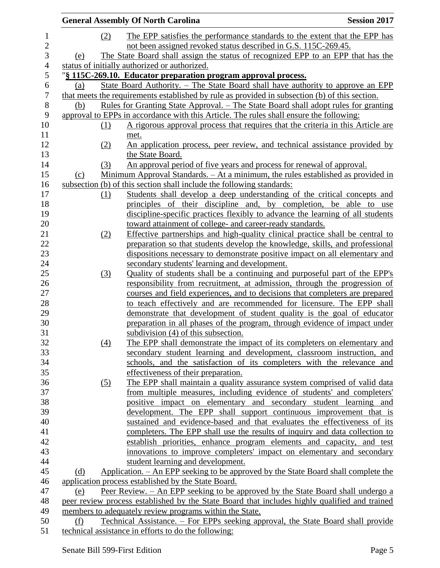|                 |     | <b>General Assembly Of North Carolina</b>                                                                                                                                                    | <b>Session 2017</b> |
|-----------------|-----|----------------------------------------------------------------------------------------------------------------------------------------------------------------------------------------------|---------------------|
| $\mathbf{1}$    | (2) | The EPP satisfies the performance standards to the extent that the EPP has                                                                                                                   |                     |
| $\mathbf{2}$    |     | not been assigned revoked status described in G.S. 115C-269.45.                                                                                                                              |                     |
| 3               | (e) | The State Board shall assign the status of recognized EPP to an EPP that has the                                                                                                             |                     |
| $\overline{4}$  |     | status of initially authorized or authorized.                                                                                                                                                |                     |
| 5               |     | "§ 115C-269.10. Educator preparation program approval process.                                                                                                                               |                     |
| 6               | (a) | State Board Authority. – The State Board shall have authority to approve an EPP                                                                                                              |                     |
| $\tau$<br>$8\,$ | (b) | that meets the requirements established by rule as provided in subsection (b) of this section.<br><u>Rules for Granting State Approval. – The State Board shall adopt rules for granting</u> |                     |
| $\mathbf{9}$    |     | approval to EPPs in accordance with this Article. The rules shall ensure the following:                                                                                                      |                     |
| 10              |     | A rigorous approval process that requires that the criteria in this Article are                                                                                                              |                     |
| 11              | (1) |                                                                                                                                                                                              |                     |
| 12              |     | met.                                                                                                                                                                                         |                     |
| 13              | (2) | An application process, peer review, and technical assistance provided by                                                                                                                    |                     |
| 14              |     | the State Board.<br>An approval period of five years and process for renewal of approval.                                                                                                    |                     |
| 15              | (3) | Minimum Approval Standards. - At a minimum, the rules established as provided in                                                                                                             |                     |
| 16              | (c) | subsection (b) of this section shall include the following standards:                                                                                                                        |                     |
| 17              |     |                                                                                                                                                                                              |                     |
| 18              | (1) | Students shall develop a deep understanding of the critical concepts and<br>principles of their discipline and, by completion, be able to use                                                |                     |
| 19              |     | discipline-specific practices flexibly to advance the learning of all students                                                                                                               |                     |
| 20              |     | toward attainment of college- and career-ready standards.                                                                                                                                    |                     |
| 21              | (2) | Effective partnerships and high-quality clinical practice shall be central to                                                                                                                |                     |
| 22              |     | preparation so that students develop the knowledge, skills, and professional                                                                                                                 |                     |
| 23              |     | dispositions necessary to demonstrate positive impact on all elementary and                                                                                                                  |                     |
| 24              |     | secondary students' learning and development.                                                                                                                                                |                     |
| 25              | (3) | Quality of students shall be a continuing and purposeful part of the EPP's                                                                                                                   |                     |
| 26              |     | responsibility from recruitment, at admission, through the progression of                                                                                                                    |                     |
| 27              |     | courses and field experiences, and to decisions that completers are prepared                                                                                                                 |                     |
| 28              |     | to teach effectively and are recommended for licensure. The EPP shall                                                                                                                        |                     |
| 29              |     | demonstrate that development of student quality is the goal of educator                                                                                                                      |                     |
| 30              |     | preparation in all phases of the program, through evidence of impact under                                                                                                                   |                     |
| 31              |     | subdivision (4) of this subsection.                                                                                                                                                          |                     |
| 32              | (4) | The EPP shall demonstrate the impact of its completers on elementary and                                                                                                                     |                     |
| 33              |     | secondary student learning and development, classroom instruction, and                                                                                                                       |                     |
| 34              |     | schools, and the satisfaction of its completers with the relevance and                                                                                                                       |                     |
| 35              |     | effectiveness of their preparation.                                                                                                                                                          |                     |
| 36              | (5) | The EPP shall maintain a quality assurance system comprised of valid data                                                                                                                    |                     |
| 37              |     | from multiple measures, including evidence of students' and completers'                                                                                                                      |                     |
| 38              |     | positive impact on elementary and secondary student learning and                                                                                                                             |                     |
| 39              |     | development. The EPP shall support continuous improvement that is                                                                                                                            |                     |
| 40              |     | sustained and evidence-based and that evaluates the effectiveness of its                                                                                                                     |                     |
| 41              |     | completers. The EPP shall use the results of inquiry and data collection to                                                                                                                  |                     |
| 42              |     | establish priorities, enhance program elements and capacity, and test                                                                                                                        |                     |
| 43              |     | innovations to improve completers' impact on elementary and secondary                                                                                                                        |                     |
| 44              |     | student learning and development.                                                                                                                                                            |                     |
| 45              | (d) | Application. – An EPP seeking to be approved by the State Board shall complete the                                                                                                           |                     |
| 46              |     | application process established by the State Board.                                                                                                                                          |                     |
| 47              | (e) | Peer Review. – An EPP seeking to be approved by the State Board shall undergo a                                                                                                              |                     |
| 48              |     | peer review process established by the State Board that includes highly qualified and trained                                                                                                |                     |
| 49              |     | members to adequately review programs within the State.                                                                                                                                      |                     |
| 50              | (f) | Technical Assistance. – For EPPs seeking approval, the State Board shall provide                                                                                                             |                     |
| 51              |     | technical assistance in efforts to do the following:                                                                                                                                         |                     |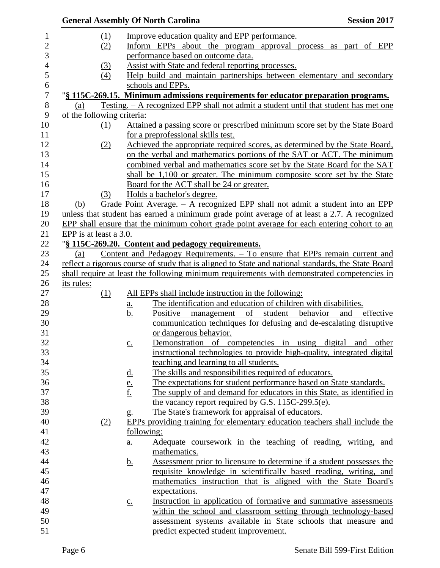|                          |                            |     |                       | <b>General Assembly Of North Carolina</b>                                                           | <b>Session 2017</b> |
|--------------------------|----------------------------|-----|-----------------------|-----------------------------------------------------------------------------------------------------|---------------------|
| $\mathbf{1}$             |                            | (1) |                       | Improve education quality and EPP performance.                                                      |                     |
| $\overline{2}$           |                            | (2) |                       | Inform EPPs about the program approval process as part of EPP                                       |                     |
| $\mathfrak{Z}$           |                            |     |                       | performance based on outcome data.                                                                  |                     |
| $\overline{\mathcal{A}}$ |                            | (3) |                       | Assist with State and federal reporting processes.                                                  |                     |
| 5                        |                            | (4) |                       | Help build and maintain partnerships between elementary and secondary                               |                     |
| 6                        |                            |     |                       | schools and EPPs.                                                                                   |                     |
| $\overline{7}$           |                            |     |                       | "§ 115C-269.15. Minimum admissions requirements for educator preparation programs.                  |                     |
| $8\,$                    | (a)                        |     |                       | <u>Testing. – A recognized EPP shall not admit a student until that student has met one</u>         |                     |
| 9                        | of the following criteria: |     |                       |                                                                                                     |                     |
| 10                       |                            | (1) |                       | Attained a passing score or prescribed minimum score set by the State Board                         |                     |
| 11                       |                            |     |                       | for a preprofessional skills test.                                                                  |                     |
| 12                       |                            | (2) |                       | Achieved the appropriate required scores, as determined by the State Board,                         |                     |
| 13                       |                            |     |                       | on the verbal and mathematics portions of the SAT or ACT. The minimum                               |                     |
| 14                       |                            |     |                       | combined verbal and mathematics score set by the State Board for the SAT                            |                     |
| 15                       |                            |     |                       | shall be 1,100 or greater. The minimum composite score set by the State                             |                     |
| 16                       |                            |     |                       | Board for the ACT shall be 24 or greater.                                                           |                     |
| 17                       |                            | (3) |                       | Holds a bachelor's degree.                                                                          |                     |
| 18                       | (b)                        |     |                       | Grade Point Average. $-$ A recognized EPP shall not admit a student into an EPP                     |                     |
| 19                       |                            |     |                       | unless that student has earned a minimum grade point average of at least a 2.7. A recognized        |                     |
| 20                       |                            |     |                       | EPP shall ensure that the minimum cohort grade point average for each entering cohort to an         |                     |
| 21                       | EPP is at least a 3.0.     |     |                       |                                                                                                     |                     |
| 22                       |                            |     |                       | "§ 115C-269.20. Content and pedagogy requirements.                                                  |                     |
| 23                       | (a)                        |     |                       | Content and Pedagogy Requirements. - To ensure that EPPs remain current and                         |                     |
| 24                       |                            |     |                       | reflect a rigorous course of study that is aligned to State and national standards, the State Board |                     |
| 25                       |                            |     |                       | shall require at least the following minimum requirements with demonstrated competencies in         |                     |
| 26                       | its rules:                 |     |                       |                                                                                                     |                     |
| 27                       |                            | (1) |                       | All EPPs shall include instruction in the following:                                                |                     |
| 28                       |                            |     | <u>a.</u>             | The identification and education of children with disabilities.                                     |                     |
| 29                       |                            |     | <u>b.</u>             | student behavior<br>Positive<br>management of                                                       | and<br>effective    |
| 30                       |                            |     |                       | communication techniques for defusing and de-escalating disruptive                                  |                     |
| 31                       |                            |     |                       | or dangerous behavior.                                                                              |                     |
| 32                       |                            |     | $\underline{c}$ .     | Demonstration of competencies in using digital and other                                            |                     |
| 33                       |                            |     |                       | instructional technologies to provide high-quality, integrated digital                              |                     |
| 34                       |                            |     |                       | teaching and learning to all students.                                                              |                     |
| 35                       |                            |     |                       | The skills and responsibilities required of educators.                                              |                     |
| 36                       |                            |     | $\frac{d.}{e.}$<br>f. | The expectations for student performance based on State standards.                                  |                     |
| 37                       |                            |     |                       | The supply of and demand for educators in this State, as identified in                              |                     |
| 38                       |                            |     |                       | the vacancy report required by G.S. 115C-299.5(e).                                                  |                     |
| 39                       |                            |     | $g_{\cdot}$           | The State's framework for appraisal of educators.                                                   |                     |
| 40                       |                            | (2) |                       | EPPs providing training for elementary education teachers shall include the                         |                     |
| 41                       |                            |     | following:            |                                                                                                     |                     |
| 42                       |                            |     | a.                    | Adequate coursework in the teaching of reading, writing, and                                        |                     |
| 43                       |                            |     |                       | mathematics.                                                                                        |                     |
| 44                       |                            |     | <u>b.</u>             | Assessment prior to licensure to determine if a student possesses the                               |                     |
| 45                       |                            |     |                       | requisite knowledge in scientifically based reading, writing, and                                   |                     |
| 46                       |                            |     |                       | mathematics instruction that is aligned with the State Board's                                      |                     |
| 47                       |                            |     |                       | expectations.                                                                                       |                     |
| 48                       |                            |     | $\underline{c}$ .     | Instruction in application of formative and summative assessments                                   |                     |
| 49                       |                            |     |                       | within the school and classroom setting through technology-based                                    |                     |
| 50                       |                            |     |                       | assessment systems available in State schools that measure and                                      |                     |
| 51                       |                            |     |                       | predict expected student improvement.                                                               |                     |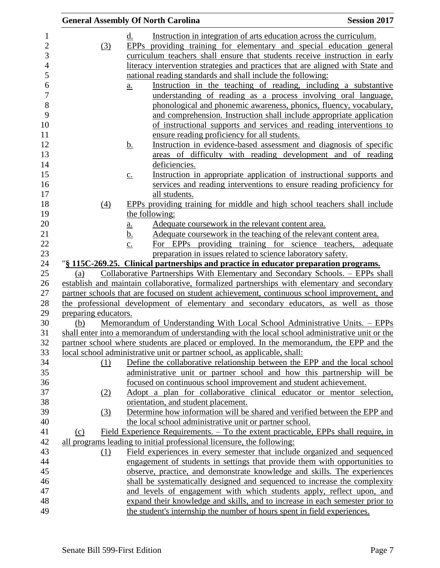| <b>General Assembly Of North Carolina</b> |                   |                                                                                                                                                                               | <b>Session 2017</b> |
|-------------------------------------------|-------------------|-------------------------------------------------------------------------------------------------------------------------------------------------------------------------------|---------------------|
|                                           | d.                | Instruction in integration of arts education across the curriculum.                                                                                                           |                     |
| (3)                                       |                   | EPPs providing training for elementary and special education general                                                                                                          |                     |
|                                           |                   | curriculum teachers shall ensure that students receive instruction in early                                                                                                   |                     |
|                                           |                   | literacy intervention strategies and practices that are aligned with State and                                                                                                |                     |
|                                           |                   | national reading standards and shall include the following:                                                                                                                   |                     |
|                                           | a.                | Instruction in the teaching of reading, including a substantive                                                                                                               |                     |
|                                           |                   | understanding of reading as a process involving oral language,                                                                                                                |                     |
|                                           |                   | phonological and phonemic awareness, phonics, fluency, vocabulary,                                                                                                            |                     |
|                                           |                   | and comprehension. Instruction shall include appropriate application                                                                                                          |                     |
|                                           |                   | of instructional supports and services and reading interventions to                                                                                                           |                     |
|                                           |                   | ensure reading proficiency for all students.                                                                                                                                  |                     |
|                                           | <u>b.</u>         | Instruction in evidence-based assessment and diagnosis of specific                                                                                                            |                     |
|                                           |                   | areas of difficulty with reading development and of reading                                                                                                                   |                     |
|                                           |                   | deficiencies.                                                                                                                                                                 |                     |
|                                           | $\underline{c}$ . | Instruction in appropriate application of instructional supports and                                                                                                          |                     |
|                                           |                   | services and reading interventions to ensure reading proficiency for                                                                                                          |                     |
|                                           |                   | all students.                                                                                                                                                                 |                     |
| (4)                                       |                   | EPPs providing training for middle and high school teachers shall include                                                                                                     |                     |
|                                           |                   | the following:                                                                                                                                                                |                     |
|                                           | <u>a.</u>         | Adequate course work in the relevant content area.                                                                                                                            |                     |
|                                           | <u>b.</u>         | Adequate coursework in the teaching of the relevant content area.                                                                                                             |                     |
|                                           | $\underline{c}$ . | For EPPs providing training for science teachers, adequate                                                                                                                    |                     |
|                                           |                   | preparation in issues related to science laboratory safety.                                                                                                                   |                     |
|                                           |                   | "§ 115C-269.25. Clinical partnerships and practice in educator preparation programs.                                                                                          |                     |
| (a)                                       |                   | Collaborative Partnerships With Elementary and Secondary Schools. – EPPs shall<br>establish and maintain collaborative, formalized partnerships with elementary and secondary |                     |
|                                           |                   | partner schools that are focused on student achievement, continuous school improvement, and                                                                                   |                     |
|                                           |                   | the professional development of elementary and secondary educators, as well as those                                                                                          |                     |
| preparing educators.                      |                   |                                                                                                                                                                               |                     |
| (b)                                       |                   | Memorandum of Understanding With Local School Administrative Units. - EPPs                                                                                                    |                     |
|                                           |                   | shall enter into a memorandum of understanding with the local school administrative unit or the                                                                               |                     |
|                                           |                   | partner school where students are placed or employed. In the memorandum, the EPP and the                                                                                      |                     |
|                                           |                   | local school administrative unit or partner school, as applicable, shall:                                                                                                     |                     |
| (1)                                       |                   | Define the collaborative relationship between the EPP and the local school                                                                                                    |                     |
|                                           |                   | administrative unit or partner school and how this partnership will be                                                                                                        |                     |
|                                           |                   | focused on continuous school improvement and student achievement.                                                                                                             |                     |
| (2)                                       |                   | Adopt a plan for collaborative clinical educator or mentor selection,                                                                                                         |                     |
|                                           |                   | orientation, and student placement.                                                                                                                                           |                     |
| (3)                                       |                   | Determine how information will be shared and verified between the EPP and                                                                                                     |                     |
|                                           |                   | the local school administrative unit or partner school.                                                                                                                       |                     |
| (c)                                       |                   | Field Experience Requirements. – To the extent practicable, EPPs shall require, in                                                                                            |                     |
|                                           |                   | all programs leading to initial professional licensure, the following:                                                                                                        |                     |
| (1)                                       |                   | Field experiences in every semester that include organized and sequenced                                                                                                      |                     |
|                                           |                   | engagement of students in settings that provide them with opportunities to                                                                                                    |                     |
|                                           |                   | observe, practice, and demonstrate knowledge and skills. The experiences                                                                                                      |                     |
|                                           |                   | shall be systematically designed and sequenced to increase the complexity                                                                                                     |                     |
|                                           |                   | and levels of engagement with which students apply, reflect upon, and                                                                                                         |                     |
|                                           |                   | expand their knowledge and skills, and to increase in each semester prior to                                                                                                  |                     |
|                                           |                   | the student's internship the number of hours spent in field experiences.                                                                                                      |                     |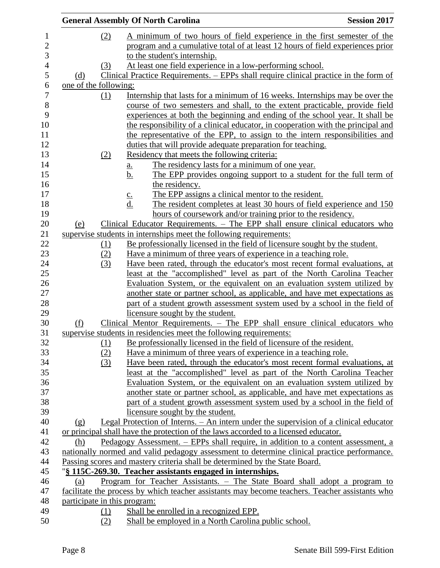|                       |            | <b>General Assembly Of North Carolina</b>                                                                                                                   | <b>Session 2017</b> |
|-----------------------|------------|-------------------------------------------------------------------------------------------------------------------------------------------------------------|---------------------|
|                       | (2)        | A minimum of two hours of field experience in the first semester of the                                                                                     |                     |
|                       |            | program and a cumulative total of at least 12 hours of field experiences prior                                                                              |                     |
|                       |            | to the student's internship.                                                                                                                                |                     |
|                       | (3)        | At least one field experience in a low-performing school.                                                                                                   |                     |
| (d)                   |            | Clinical Practice Requirements. – EPPs shall require clinical practice in the form of                                                                       |                     |
| one of the following: |            |                                                                                                                                                             |                     |
|                       | $\Omega$   | Internship that lasts for a minimum of 16 weeks. Internships may be over the                                                                                |                     |
|                       |            | course of two semesters and shall, to the extent practicable, provide field                                                                                 |                     |
|                       |            | experiences at both the beginning and ending of the school year. It shall be                                                                                |                     |
|                       |            | the responsibility of a clinical educator, in cooperation with the principal and                                                                            |                     |
|                       |            | the representative of the EPP, to assign to the intern responsibilities and                                                                                 |                     |
|                       |            | duties that will provide adequate preparation for teaching.                                                                                                 |                     |
|                       | (2)        | Residency that meets the following criteria:                                                                                                                |                     |
|                       |            | The residency lasts for a minimum of one year.<br><u>a.</u>                                                                                                 |                     |
|                       |            | The EPP provides ongoing support to a student for the full term of<br><u>b.</u>                                                                             |                     |
|                       |            | the residency.                                                                                                                                              |                     |
|                       |            | The EPP assigns a clinical mentor to the resident.<br>$rac{c}{d}$                                                                                           |                     |
|                       |            | The resident completes at least 30 hours of field experience and 150                                                                                        |                     |
|                       |            | hours of coursework and/or training prior to the residency.                                                                                                 |                     |
| (e)                   |            | Clinical Educator Requirements. - The EPP shall ensure clinical educators who                                                                               |                     |
|                       |            | supervise students in internships meet the following requirements:                                                                                          |                     |
|                       | <u>(1)</u> | Be professionally licensed in the field of licensure sought by the student.                                                                                 |                     |
|                       | (2)        | Have a minimum of three years of experience in a teaching role.                                                                                             |                     |
|                       | (3)        | Have been rated, through the educator's most recent formal evaluations, at                                                                                  |                     |
|                       |            | least at the "accomplished" level as part of the North Carolina Teacher                                                                                     |                     |
|                       |            | Evaluation System, or the equivalent on an evaluation system utilized by                                                                                    |                     |
|                       |            | another state or partner school, as applicable, and have met expectations as                                                                                |                     |
|                       |            | part of a student growth assessment system used by a school in the field of                                                                                 |                     |
|                       |            | licensure sought by the student.                                                                                                                            |                     |
| (f)                   |            | Clinical Mentor Requirements. - The EPP shall ensure clinical educators who                                                                                 |                     |
|                       |            | supervise students in residencies meet the following requirements:                                                                                          |                     |
|                       | (1)        | Be professionally licensed in the field of licensure of the resident.                                                                                       |                     |
|                       | (2)        | Have a minimum of three years of experience in a teaching role.                                                                                             |                     |
|                       | (3)        | Have been rated, through the educator's most recent formal evaluations, at                                                                                  |                     |
|                       |            | least at the "accomplished" level as part of the North Carolina Teacher                                                                                     |                     |
|                       |            | Evaluation System, or the equivalent on an evaluation system utilized by                                                                                    |                     |
|                       |            | another state or partner school, as applicable, and have met expectations as<br>part of a student growth assessment system used by a school in the field of |                     |
|                       |            | licensure sought by the student.                                                                                                                            |                     |
| (g)                   |            | Legal Protection of Interns. – An intern under the supervision of a clinical educator                                                                       |                     |
|                       |            | or principal shall have the protection of the laws accorded to a licensed educator.                                                                         |                     |
| (h)                   |            | Pedagogy Assessment. – EPPs shall require, in addition to a content assessment, a                                                                           |                     |
|                       |            | nationally normed and valid pedagogy assessment to determine clinical practice performance.                                                                 |                     |
|                       |            | Passing scores and mastery criteria shall be determined by the State Board.                                                                                 |                     |
|                       |            | "§ 115C-269.30. Teacher assistants engaged in internships.                                                                                                  |                     |
| (a)                   |            | Program for Teacher Assistants. – The State Board shall adopt a program to                                                                                  |                     |
|                       |            | facilitate the process by which teacher assistants may become teachers. Teacher assistants who                                                              |                     |
|                       |            | participate in this program:                                                                                                                                |                     |
|                       | <u>(1)</u> | Shall be enrolled in a recognized EPP.                                                                                                                      |                     |
|                       |            |                                                                                                                                                             |                     |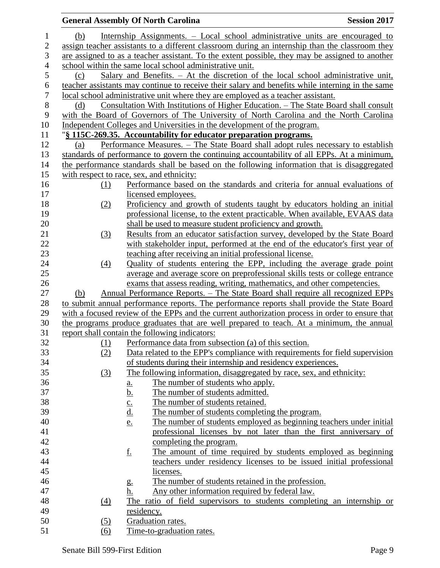|                  |     |            | <b>General Assembly Of North Carolina</b>                                                        | <b>Session 2017</b> |
|------------------|-----|------------|--------------------------------------------------------------------------------------------------|---------------------|
| $\mathbf{1}$     | (b) |            | Internship Assignments. – Local school administrative units are encouraged to                    |                     |
| $\overline{2}$   |     |            | assign teacher assistants to a different classroom during an internship than the classroom they  |                     |
| 3                |     |            | are assigned to as a teacher assistant. To the extent possible, they may be assigned to another  |                     |
| $\overline{4}$   |     |            | school within the same local school administrative unit.                                         |                     |
| 5                | (c) |            | Salary and Benefits. $-$ At the discretion of the local school administrative unit,              |                     |
| 6                |     |            | teacher assistants may continue to receive their salary and benefits while interning in the same |                     |
| $\boldsymbol{7}$ |     |            | local school administrative unit where they are employed as a teacher assistant.                 |                     |
| 8                | (d) |            | <u>Consultation With Institutions of Higher Education. – The State Board shall consult</u>       |                     |
| 9                |     |            | with the Board of Governors of The University of North Carolina and the North Carolina           |                     |
| 10               |     |            | Independent Colleges and Universities in the development of the program.                         |                     |
| 11               |     |            | "§ 115C-269.35. Accountability for educator preparation programs.                                |                     |
| 12               | (a) |            | Performance Measures. - The State Board shall adopt rules necessary to establish                 |                     |
| 13               |     |            | standards of performance to govern the continuing accountability of all EPPs. At a minimum,      |                     |
| 14               |     |            | the performance standards shall be based on the following information that is disaggregated      |                     |
| 15               |     |            | with respect to race, sex, and ethnicity:                                                        |                     |
| 16               |     | <u>(1)</u> | Performance based on the standards and criteria for annual evaluations of                        |                     |
| 17               |     |            | licensed employees.                                                                              |                     |
| 18               |     | (2)        | Proficiency and growth of students taught by educators holding an initial                        |                     |
| 19               |     |            | professional license, to the extent practicable. When available, EVAAS data                      |                     |
| 20               |     |            | shall be used to measure student proficiency and growth.                                         |                     |
| 21               |     | (3)        | Results from an educator satisfaction survey, developed by the State Board                       |                     |
| 22               |     |            | with stakeholder input, performed at the end of the educator's first year of                     |                     |
| 23               |     |            | teaching after receiving an initial professional license.                                        |                     |
| 24               |     | (4)        | Quality of students entering the EPP, including the average grade point                          |                     |
| 25               |     |            | average and average score on preprofessional skills tests or college entrance                    |                     |
| 26               |     |            | exams that assess reading, writing, mathematics, and other competencies.                         |                     |
| 27               | (b) |            | <u> Annual Performance Reports. – The State Board shall require all recognized EPPs</u>          |                     |
| 28               |     |            | to submit annual performance reports. The performance reports shall provide the State Board      |                     |
| 29               |     |            | with a focused review of the EPPs and the current authorization process in order to ensure that  |                     |
| 30               |     |            | the programs produce graduates that are well prepared to teach. At a minimum, the annual         |                     |
| 31               |     |            | report shall contain the following indicators:                                                   |                     |
| 32               |     | (1)        | Performance data from subsection (a) of this section.                                            |                     |
| 33               |     | (2)        | Data related to the EPP's compliance with requirements for field supervision                     |                     |
| 34               |     |            | of students during their internship and residency experiences.                                   |                     |
| 35               |     | (3)        | The following information, disaggregated by race, sex, and ethnicity:                            |                     |
| 36               |     |            | The number of students who apply.<br>$\underline{\mathbf{a}}$ .                                  |                     |
| 37               |     |            | <u>b.</u><br>The number of students admitted.                                                    |                     |
| 38               |     |            | The number of students retained.<br>$\underline{c}$ .                                            |                     |
| 39               |     |            | <u>d.</u><br>The number of students completing the program.                                      |                     |
| 40               |     |            | The number of students employed as beginning teachers under initial<br>e.                        |                     |
| 41               |     |            | professional licenses by not later than the first anniversary of                                 |                     |
| 42               |     |            | completing the program.                                                                          |                     |
| 43               |     |            | <u>f.</u><br>The amount of time required by students employed as beginning                       |                     |
| 44               |     |            | teachers under residency licenses to be issued initial professional                              |                     |
| 45               |     |            | licenses.                                                                                        |                     |
| 46               |     |            | The number of students retained in the profession.<br>g.                                         |                     |
| 47               |     |            | Any other information required by federal law.<br>h.                                             |                     |
| 48               |     | (4)        | The ratio of field supervisors to students completing an internship or                           |                     |
| 49               |     |            | residency.                                                                                       |                     |
| 50               |     | (5)        | Graduation rates.                                                                                |                     |
| 51               |     | (6)        | Time-to-graduation rates.                                                                        |                     |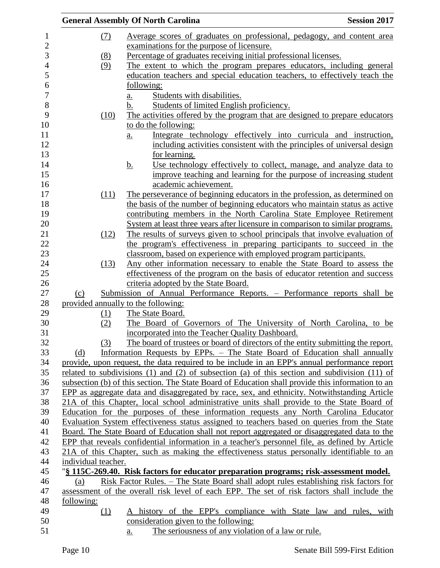|                  |                     | <b>General Assembly Of North Carolina</b><br><b>Session 2017</b>                                      |
|------------------|---------------------|-------------------------------------------------------------------------------------------------------|
| 1                | (7)                 | Average scores of graduates on professional, pedagogy, and content area                               |
| $\overline{c}$   |                     | examinations for the purpose of licensure.                                                            |
| $\mathfrak{Z}$   | (8)                 | Percentage of graduates receiving initial professional licenses.                                      |
| $\overline{4}$   | (9)                 | The extent to which the program prepares educators, including general                                 |
| 5                |                     | education teachers and special education teachers, to effectively teach the                           |
| $\boldsymbol{6}$ |                     | following:                                                                                            |
| 7                |                     | Students with disabilities.<br>a.                                                                     |
| 8                |                     | Students of limited English proficiency.<br>b.                                                        |
| 9                | (10)                | The activities offered by the program that are designed to prepare educators                          |
| 10               |                     | to do the following:                                                                                  |
| 11               |                     | Integrate technology effectively into curricula and instruction,<br>a.                                |
| 12               |                     | including activities consistent with the principles of universal design                               |
| 13               |                     | for learning.                                                                                         |
| 14               |                     | Use technology effectively to collect, manage, and analyze data to<br><u>b.</u>                       |
| 15               |                     | improve teaching and learning for the purpose of increasing student                                   |
| 16               |                     | academic achievement.                                                                                 |
| 17               | (11)                | The perseverance of beginning educators in the profession, as determined on                           |
| 18               |                     | the basis of the number of beginning educators who maintain status as active                          |
| 19               |                     | contributing members in the North Carolina State Employee Retirement                                  |
| 20               |                     | System at least three years after licensure in comparison to similar programs.                        |
| 21               | (12)                | The results of surveys given to school principals that involve evaluation of                          |
| 22               |                     | the program's effectiveness in preparing participants to succeed in the                               |
| 23               |                     | classroom, based on experience with employed program participants.                                    |
| 24               | (13)                | Any other information necessary to enable the State Board to assess the                               |
| 25               |                     | effectiveness of the program on the basis of educator retention and success                           |
| 26               |                     | criteria adopted by the State Board.                                                                  |
| 27               | (c)                 | Submission of Annual Performance Reports. - Performance reports shall be                              |
| 28               |                     | provided annually to the following:                                                                   |
| 29               | (1)                 | The State Board.                                                                                      |
| 30               | (2)                 | The Board of Governors of The University of North Carolina, to be                                     |
| 31               |                     | incorporated into the Teacher Quality Dashboard.                                                      |
| 32               | (3)                 | The board of trustees or board of directors of the entity submitting the report.                      |
|                  | (d)                 | Information Requests by EPPs. – The State Board of Education shall annually                           |
| 33<br>34         |                     | provide, upon request, the data required to be include in an EPP's annual performance report          |
| 35               |                     | related to subdivisions $(1)$ and $(2)$ of subsection $(a)$ of this section and subdivision $(11)$ of |
| 36               |                     | subsection (b) of this section. The State Board of Education shall provide this information to an     |
| 37               |                     | EPP as aggregate data and disaggregated by race, sex, and ethnicity. Notwithstanding Article          |
| 38               |                     | 21A of this Chapter, local school administrative units shall provide to the State Board of            |
| 39               |                     | Education for the purposes of these information requests any North Carolina Educator                  |
| 40               |                     | Evaluation System effectiveness status assigned to teachers based on queries from the State           |
|                  |                     | Board. The State Board of Education shall not report aggregated or disaggregated data to the          |
| 41<br>42         |                     | EPP that reveals confidential information in a teacher's personnel file, as defined by Article        |
|                  |                     |                                                                                                       |
| 43               |                     | 21A of this Chapter, such as making the effectiveness status personally identifiable to an            |
| 44<br>45         | individual teacher. |                                                                                                       |
|                  |                     | "§ 115C-269.40. Risk factors for educator preparation programs; risk-assessment model.                |
| 46               | (a)                 | Risk Factor Rules. – The State Board shall adopt rules establishing risk factors for                  |
| 47               |                     | assessment of the overall risk level of each EPP. The set of risk factors shall include the           |
| 48<br>49         | following:          |                                                                                                       |
|                  | (1)                 | A history of the EPP's compliance with State law and rules, with                                      |
| 50               |                     | consideration given to the following:                                                                 |
| 51               |                     | The seriousness of any violation of a law or rule.<br>a.                                              |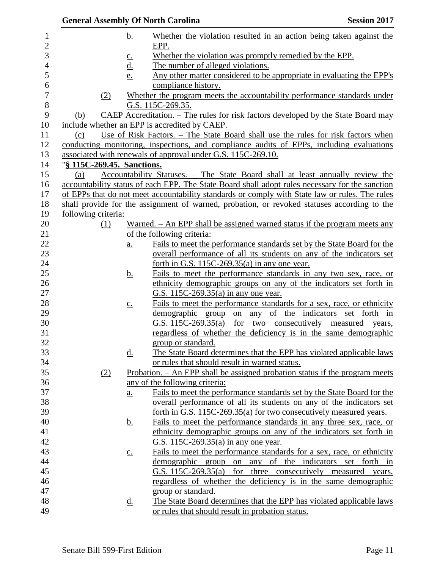|                            |                            | <b>General Assembly Of North Carolina</b>                                                       | <b>Session 2017</b>                   |
|----------------------------|----------------------------|-------------------------------------------------------------------------------------------------|---------------------------------------|
|                            | <u>b.</u>                  | Whether the violation resulted in an action being taken against the                             |                                       |
|                            |                            | EPP.                                                                                            |                                       |
|                            | $\underline{c}$ .          | Whether the violation was promptly remedied by the EPP.                                         |                                       |
|                            | $\underline{\mathrm{d}}$ . | The number of alleged violations.                                                               |                                       |
|                            | e.                         | Any other matter considered to be appropriate in evaluating the EPP's                           |                                       |
|                            |                            | compliance history.                                                                             |                                       |
| (2)                        |                            | Whether the program meets the accountability performance standards under                        |                                       |
|                            |                            | G.S. 115C-269.35.                                                                               |                                       |
| (b)                        |                            | CAEP Accreditation. - The rules for risk factors developed by the State Board may               |                                       |
|                            |                            | include whether an EPP is accredited by CAEP.                                                   |                                       |
| (c)                        |                            | Use of Risk Factors. – The State Board shall use the rules for risk factors when                |                                       |
|                            |                            | conducting monitoring, inspections, and compliance audits of EPPs, including evaluations        |                                       |
|                            |                            | associated with renewals of approval under G.S. 115C-269.10.                                    |                                       |
| "§ 115C-269.45. Sanctions. |                            |                                                                                                 |                                       |
| (a)                        |                            | Accountability Statuses. - The State Board shall at least annually review the                   |                                       |
|                            |                            | accountability status of each EPP. The State Board shall adopt rules necessary for the sanction |                                       |
|                            |                            | of EPPs that do not meet accountability standards or comply with State law or rules. The rules  |                                       |
|                            |                            | shall provide for the assignment of warned, probation, or revoked statuses according to the     |                                       |
| following criteria:        |                            |                                                                                                 |                                       |
| (1)                        |                            | Warned. – An EPP shall be assigned warned status if the program meets any                       |                                       |
|                            |                            | of the following criteria:                                                                      |                                       |
|                            | $\underline{a}$ .          | Fails to meet the performance standards set by the State Board for the                          |                                       |
|                            |                            | overall performance of all its students on any of the indicators set                            |                                       |
|                            |                            | forth in G.S. $115C-269.35(a)$ in any one year.                                                 |                                       |
|                            | <u>b.</u>                  | Fails to meet the performance standards in any two sex, race, or                                |                                       |
|                            |                            | ethnicity demographic groups on any of the indicators set forth in                              |                                       |
|                            |                            | G.S. 115C-269.35(a) in any one year.                                                            |                                       |
|                            | $\underline{c}$ .          | Fails to meet the performance standards for a sex, race, or ethnicity                           |                                       |
|                            |                            | demographic group on any of the indicators set forth in                                         |                                       |
|                            |                            | G.S. 115C-269.35(a)                                                                             | for two consecutively measured years, |
|                            |                            | regardless of whether the deficiency is in the same demographic                                 |                                       |
|                            |                            | group or standard.                                                                              |                                       |
|                            | <u>d.</u>                  | The State Board determines that the EPP has violated applicable laws                            |                                       |
|                            |                            | or rules that should result in warned status.                                                   |                                       |
| (2)                        |                            | Probation. - An EPP shall be assigned probation status if the program meets                     |                                       |
|                            |                            | any of the following criteria:                                                                  |                                       |
|                            | $\underline{a}$ .          | Fails to meet the performance standards set by the State Board for the                          |                                       |
|                            |                            | overall performance of all its students on any of the indicators set                            |                                       |
|                            |                            | forth in G.S. 115C-269.35(a) for two consecutively measured years.                              |                                       |
|                            | <u>b.</u>                  | Fails to meet the performance standards in any three sex, race, or                              |                                       |
|                            |                            | ethnicity demographic groups on any of the indicators set forth in                              |                                       |
|                            |                            | G.S. 115C-269.35(a) in any one year.                                                            |                                       |
|                            | $\underline{c}$ .          | Fails to meet the performance standards for a sex, race, or ethnicity                           |                                       |
|                            |                            | demographic group on any of the indicators set forth in                                         |                                       |
|                            |                            | G.S. 115C-269.35(a) for three consecutively measured years,                                     |                                       |
|                            |                            | regardless of whether the deficiency is in the same demographic                                 |                                       |
|                            |                            | group or standard.                                                                              |                                       |
|                            | <u>d.</u>                  | The State Board determines that the EPP has violated applicable laws                            |                                       |
|                            |                            | or rules that should result in probation status.                                                |                                       |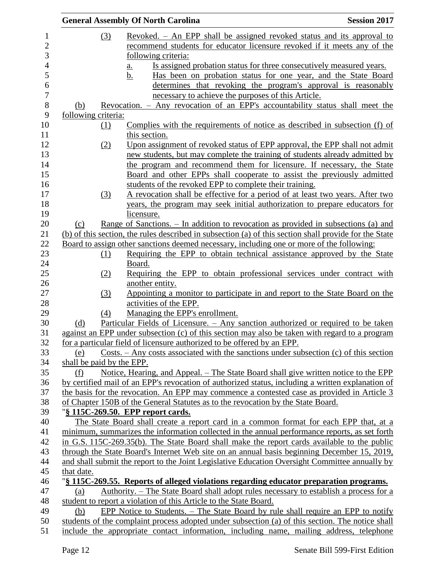|                           | <b>General Assembly Of North Carolina</b>                                                                                                                  | <b>Session 2017</b> |
|---------------------------|------------------------------------------------------------------------------------------------------------------------------------------------------------|---------------------|
| (3)                       | Revoked. – An EPP shall be assigned revoked status and its approval to                                                                                     |                     |
|                           | recommend students for educator licensure revoked if it meets any of the                                                                                   |                     |
|                           | following criteria:                                                                                                                                        |                     |
|                           | Is assigned probation status for three consecutively measured years.<br><u>a.</u>                                                                          |                     |
|                           | Has been on probation status for one year, and the State Board<br><u>b.</u>                                                                                |                     |
|                           | determines that revoking the program's approval is reasonably                                                                                              |                     |
|                           | necessary to achieve the purposes of this Article.                                                                                                         |                     |
| (b)                       | <u>Revocation. – Any revocation of an EPP's accountability status shall meet the</u>                                                                       |                     |
| following criteria:       |                                                                                                                                                            |                     |
| $\Omega$                  | Complies with the requirements of notice as described in subsection (f) of                                                                                 |                     |
|                           | this section.                                                                                                                                              |                     |
| (2)                       | Upon assignment of revoked status of EPP approval, the EPP shall not admit                                                                                 |                     |
|                           | new students, but may complete the training of students already admitted by                                                                                |                     |
|                           | the program and recommend them for licensure. If necessary, the State                                                                                      |                     |
|                           | Board and other EPPs shall cooperate to assist the previously admitted                                                                                     |                     |
|                           | students of the revoked EPP to complete their training.                                                                                                    |                     |
| (3)                       | A revocation shall be effective for a period of at least two years. After two                                                                              |                     |
|                           | years, the program may seek initial authorization to prepare educators for                                                                                 |                     |
|                           | licensure.                                                                                                                                                 |                     |
| (c)                       | Range of Sanctions. – In addition to revocation as provided in subsections (a) and                                                                         |                     |
|                           | (b) of this section, the rules described in subsection (a) of this section shall provide for the State                                                     |                     |
|                           | <u>Board to assign other sanctions deemed necessary, including one or more of the following:</u>                                                           |                     |
| <u>(1)</u>                | Requiring the EPP to obtain technical assistance approved by the State                                                                                     |                     |
|                           | Board.                                                                                                                                                     |                     |
| (2)                       | Requiring the EPP to obtain professional services under contract with                                                                                      |                     |
|                           | another entity.                                                                                                                                            |                     |
| (3)                       | Appointing a monitor to participate in and report to the State Board on the                                                                                |                     |
|                           | activities of the EPP.                                                                                                                                     |                     |
| (4)                       | Managing the EPP's enrollment.                                                                                                                             |                     |
| (d)                       | Particular Fields of Licensure. - Any sanction authorized or required to be taken                                                                          |                     |
|                           | against an EPP under subsection (c) of this section may also be taken with regard to a program                                                             |                     |
|                           | for a particular field of licensure authorized to be offered by an EPP.                                                                                    |                     |
| (e)                       | Costs. $-\text{Any costs associated with the sactions under subsection (c) of this section}$                                                               |                     |
| shall be paid by the EPP. |                                                                                                                                                            |                     |
| (f)                       | Notice, Hearing, and Appeal. – The State Board shall give written notice to the EPP                                                                        |                     |
|                           | by certified mail of an EPP's revocation of authorized status, including a written explanation of                                                          |                     |
|                           | the basis for the revocation. An EPP may commence a contested case as provided in Article 3                                                                |                     |
|                           | of Chapter 150B of the General Statutes as to the revocation by the State Board.                                                                           |                     |
|                           | "§ 115C-269.50. EPP report cards.                                                                                                                          |                     |
|                           | The State Board shall create a report card in a common format for each EPP that, at a                                                                      |                     |
|                           | minimum, summarizes the information collected in the annual performance reports, as set forth                                                              |                     |
|                           | in G.S. 115C-269.35(b). The State Board shall make the report cards available to the public                                                                |                     |
|                           | through the State Board's Internet Web site on an annual basis beginning December 15, 2019,                                                                |                     |
|                           | and shall submit the report to the Joint Legislative Education Oversight Committee annually by                                                             |                     |
| that date.                |                                                                                                                                                            |                     |
|                           | "\\the 3 115C-269.55. Reports of alleged violations regarding educator preparation programs.                                                               |                     |
| (a)                       | Authority. – The State Board shall adopt rules necessary to establish a process for a<br>student to report a violation of this Article to the State Board. |                     |
| (b)                       | EPP Notice to Students. – The State Board by rule shall require an EPP to notify                                                                           |                     |
|                           | students of the complaint process adopted under subsection (a) of this section. The notice shall                                                           |                     |
|                           | include the appropriate contact information, including name, mailing address, telephone                                                                    |                     |
|                           |                                                                                                                                                            |                     |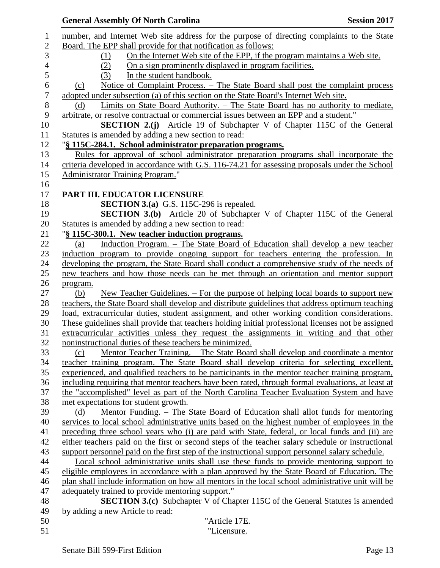| <b>General Assembly Of North Carolina</b><br><b>Session 2017</b>                                                                                                                               |
|------------------------------------------------------------------------------------------------------------------------------------------------------------------------------------------------|
| number, and Internet Web site address for the purpose of directing complaints to the State<br>$\mathbf{1}$                                                                                     |
| $\sqrt{2}$<br>Board. The EPP shall provide for that notification as follows:                                                                                                                   |
| 3<br>On the Internet Web site of the EPP, if the program maintains a Web site.<br>(1)                                                                                                          |
| On a sign prominently displayed in program facilities.<br>(2)                                                                                                                                  |
| In the student handbook.<br>(3)                                                                                                                                                                |
| <u>Notice of Complaint Process. – The State Board shall post the complaint process</u><br>(c)                                                                                                  |
| adopted under subsection (a) of this section on the State Board's Internet Web site.                                                                                                           |
| Limits on State Board Authority. – The State Board has no authority to mediate,<br>(d)                                                                                                         |
| arbitrate, or resolve contractual or commercial issues between an EPP and a student."                                                                                                          |
| <b>SECTION 2.(j)</b> Article 19 of Subchapter V of Chapter 115C of the General                                                                                                                 |
| Statutes is amended by adding a new section to read:                                                                                                                                           |
| "§ 115C-284.1. School administrator preparation programs.                                                                                                                                      |
| Rules for approval of school administrator preparation programs shall incorporate the                                                                                                          |
| criteria developed in accordance with G.S. 116-74.21 for assessing proposals under the School                                                                                                  |
| Administrator Training Program."                                                                                                                                                               |
|                                                                                                                                                                                                |
| PART III. EDUCATOR LICENSURE                                                                                                                                                                   |
| <b>SECTION 3.(a)</b> G.S. 115C-296 is repealed.                                                                                                                                                |
| <b>SECTION 3.(b)</b> Article 20 of Subchapter V of Chapter 115C of the General                                                                                                                 |
| Statutes is amended by adding a new section to read:                                                                                                                                           |
| "§ 115C-300.1. New teacher induction programs.                                                                                                                                                 |
| Induction Program. - The State Board of Education shall develop a new teacher<br>(a)                                                                                                           |
| induction program to provide ongoing support for teachers entering the profession. In                                                                                                          |
| developing the program, the State Board shall conduct a comprehensive study of the needs of                                                                                                    |
| new teachers and how those needs can be met through an orientation and mentor support                                                                                                          |
| program.                                                                                                                                                                                       |
| <u>New Teacher Guidelines. – For the purpose of helping local boards to support new</u><br>(b)                                                                                                 |
| teachers, the State Board shall develop and distribute guidelines that address optimum teaching                                                                                                |
| load, extracurricular duties, student assignment, and other working condition considerations.                                                                                                  |
| These guidelines shall provide that teachers holding initial professional licenses not be assigned                                                                                             |
| extracurricular activities unless they request the assignments in writing and that other                                                                                                       |
| noninstructional duties of these teachers be minimized.                                                                                                                                        |
| Mentor Teacher Training. – The State Board shall develop and coordinate a mentor<br>(c)                                                                                                        |
| teacher training program. The State Board shall develop criteria for selecting excellent,                                                                                                      |
| experienced, and qualified teachers to be participants in the mentor teacher training program,                                                                                                 |
| including requiring that mentor teachers have been rated, through formal evaluations, at least at<br>the "accomplished" level as part of the North Carolina Teacher Evaluation System and have |
| met expectations for student growth.                                                                                                                                                           |
| Mentor Funding. – The State Board of Education shall allot funds for mentoring<br>(d)                                                                                                          |
| services to local school administrative units based on the highest number of employees in the                                                                                                  |
| preceding three school years who (i) are paid with State, federal, or local funds and (ii) are                                                                                                 |
| either teachers paid on the first or second steps of the teacher salary schedule or instructional                                                                                              |
| support personnel paid on the first step of the instructional support personnel salary schedule.                                                                                               |
| Local school administrative units shall use these funds to provide mentoring support to                                                                                                        |
| eligible employees in accordance with a plan approved by the State Board of Education. The                                                                                                     |
| plan shall include information on how all mentors in the local school administrative unit will be                                                                                              |
| adequately trained to provide mentoring support."                                                                                                                                              |
| <b>SECTION 3.(c)</b> Subchapter V of Chapter 115C of the General Statutes is amended                                                                                                           |
| by adding a new Article to read:                                                                                                                                                               |
| "Article 17E.                                                                                                                                                                                  |
| "Licensure.                                                                                                                                                                                    |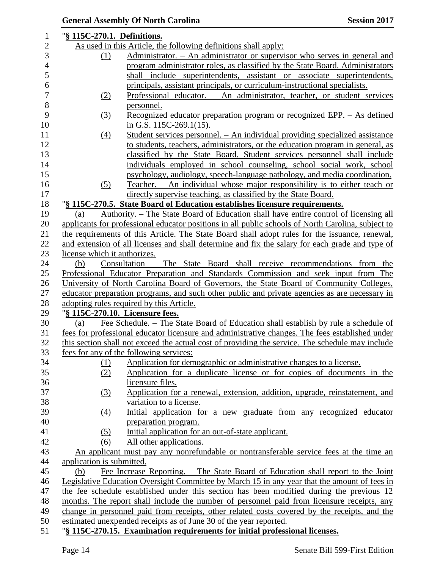|                              | <b>General Assembly Of North Carolina</b><br><b>Session 2017</b>                                   |  |
|------------------------------|----------------------------------------------------------------------------------------------------|--|
| "§ 115C-270.1. Definitions.  |                                                                                                    |  |
|                              | As used in this Article, the following definitions shall apply:                                    |  |
| (1)                          | Administrator. - An administrator or supervisor who serves in general and                          |  |
|                              | program administrator roles, as classified by the State Board. Administrators                      |  |
|                              | shall include superintendents, assistant or associate superintendents,                             |  |
|                              | principals, assistant principals, or curriculum-instructional specialists.                         |  |
| (2)                          | Professional educator. - An administrator, teacher, or student services                            |  |
|                              | personnel.                                                                                         |  |
| (3)                          | Recognized educator preparation program or recognized EPP. – As defined                            |  |
|                              | in G.S. $115C-269.1(15)$ .                                                                         |  |
| (4)                          | <u> Student services personnel. – An individual providing specialized assistance</u>               |  |
|                              | to students, teachers, administrators, or the education program in general, as                     |  |
|                              | classified by the State Board. Student services personnel shall include                            |  |
|                              | individuals employed in school counseling, school social work, school                              |  |
|                              | psychology, audiology, speech-language pathology, and media coordination.                          |  |
| (5)                          | Teacher. - An individual whose major responsibility is to either teach or                          |  |
|                              | directly supervise teaching, as classified by the State Board.                                     |  |
|                              | "§ 115C-270.5. State Board of Education establishes licensure requirements.                        |  |
| (a)                          | Authority. – The State Board of Education shall have entire control of licensing all               |  |
|                              | applicants for professional educator positions in all public schools of North Carolina, subject to |  |
|                              | the requirements of this Article. The State Board shall adopt rules for the issuance, renewal,     |  |
|                              | and extension of all licenses and shall determine and fix the salary for each grade and type of    |  |
| license which it authorizes. |                                                                                                    |  |
| (b)                          | Consultation - The State Board shall receive recommendations from the                              |  |
|                              | Professional Educator Preparation and Standards Commission and seek input from The                 |  |
|                              | University of North Carolina Board of Governors, the State Board of Community Colleges,            |  |
|                              | educator preparation programs, and such other public and private agencies as are necessary in      |  |
|                              | adopting rules required by this Article.                                                           |  |
|                              | "§ 115C-270.10. Licensure fees.                                                                    |  |
| (a)                          | Fee Schedule. – The State Board of Education shall establish by rule a schedule of                 |  |
|                              | fees for professional educator licensure and administrative changes. The fees established under    |  |
|                              | this section shall not exceed the actual cost of providing the service. The schedule may include   |  |
|                              | fees for any of the following services:                                                            |  |
| (1)                          | Application for demographic or administrative changes to a license.                                |  |
| (2)                          | Application for a duplicate license or for copies of documents in the                              |  |
|                              | licensure files.                                                                                   |  |
| (3)                          | Application for a renewal, extension, addition, upgrade, reinstatement, and                        |  |
|                              | variation to a license.                                                                            |  |
| $\left(4\right)$             | Initial application for a new graduate from any recognized educator                                |  |
|                              | preparation program.                                                                               |  |
| (5)                          | Initial application for an out-of-state applicant.                                                 |  |
| (6)                          | All other applications.                                                                            |  |
|                              | An applicant must pay any nonrefundable or nontransferable service fees at the time an             |  |
| application is submitted.    |                                                                                                    |  |
| (b)                          | Fee Increase Reporting. – The State Board of Education shall report to the Joint                   |  |
|                              | Legislative Education Oversight Committee by March 15 in any year that the amount of fees in       |  |
|                              | the fee schedule established under this section has been modified during the previous 12           |  |
|                              | months. The report shall include the number of personnel paid from licensure receipts, any         |  |
|                              | change in personnel paid from receipts, other related costs covered by the receipts, and the       |  |
|                              | estimated unexpended receipts as of June 30 of the year reported.                                  |  |
|                              | "§ 115C-270.15. Examination requirements for initial professional licenses.                        |  |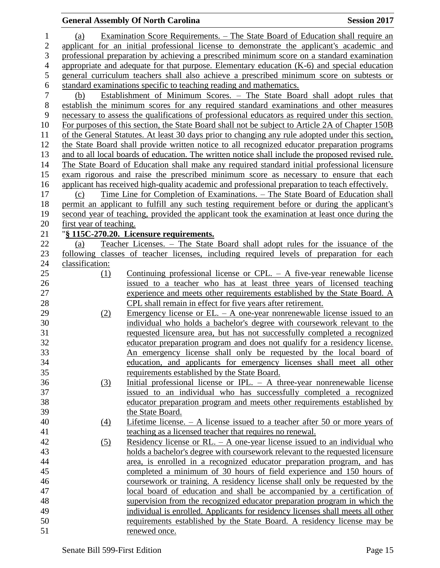### (a) Examination Score Requirements. – The State Board of Education shall require an applicant for an initial professional license to demonstrate the applicant's academic and professional preparation by achieving a prescribed minimum score on a standard examination appropriate and adequate for that purpose. Elementary education (K-6) and special education general curriculum teachers shall also achieve a prescribed minimum score on subtests or 6 standard examinations specific to teaching reading and mathematics.<br>
(b) Establishment of Minimum Scores. – The State Boa (b) Establishment of Minimum Scores. – The State Board shall adopt rules that establish the minimum scores for any required standard examinations and other measures necessary to assess the qualifications of professional educators as required under this section. For purposes of this section, the State Board shall not be subject to Article 2A of Chapter 150B of the General Statutes. At least 30 days prior to changing any rule adopted under this section, the State Board shall provide written notice to all recognized educator preparation programs and to all local boards of education. The written notice shall include the proposed revised rule. The State Board of Education shall make any required standard initial professional licensure exam rigorous and raise the prescribed minimum score as necessary to ensure that each applicant has received high-quality academic and professional preparation to teach effectively. (c) Time Line for Completion of Examinations. – The State Board of Education shall permit an applicant to fulfill any such testing requirement before or during the applicant's second year of teaching, provided the applicant took the examination at least once during the first year of teaching. "**§ 115C-270.20. Licensure requirements.** (a) Teacher Licenses. – The State Board shall adopt rules for the issuance of the following classes of teacher licenses, including required levels of preparation for each classification: (1) Continuing professional license or CPL. – A five-year renewable license issued to a teacher who has at least three years of licensed teaching experience and meets other requirements established by the State Board. A CPL shall remain in effect for five years after retirement. (2) Emergency license or EL. – A one-year nonrenewable license issued to an individual who holds a bachelor's degree with coursework relevant to the requested licensure area, but has not successfully completed a recognized educator preparation program and does not qualify for a residency license. An emergency license shall only be requested by the local board of education, and applicants for emergency licenses shall meet all other requirements established by the State Board. (3) Initial professional license or IPL. – A three-year nonrenewable license issued to an individual who has successfully completed a recognized educator preparation program and meets other requirements established by the State Board. (4) Lifetime license. – A license issued to a teacher after 50 or more years of teaching as a licensed teacher that requires no renewal. (5) Residency license or RL. – A one-year license issued to an individual who holds a bachelor's degree with coursework relevant to the requested licensure area, is enrolled in a recognized educator preparation program, and has completed a minimum of 30 hours of field experience and 150 hours of coursework or training. A residency license shall only be requested by the local board of education and shall be accompanied by a certification of supervision from the recognized educator preparation program in which the

**General Assembly Of North Carolina Session 2017**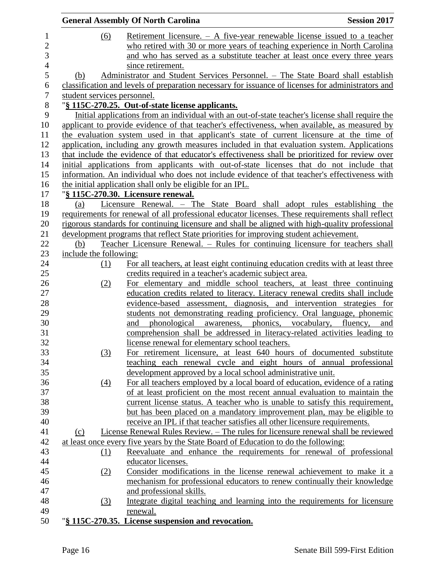|                  |                             | <b>General Assembly Of North Carolina</b>                                                             | <b>Session 2017</b> |
|------------------|-----------------------------|-------------------------------------------------------------------------------------------------------|---------------------|
| $\mathbf{1}$     | (6)                         | <u>Retirement licensure. <math>-</math> A five-year renewable license issued to a teacher</u>         |                     |
| $\overline{c}$   |                             | who retired with 30 or more years of teaching experience in North Carolina                            |                     |
| 3                |                             | and who has served as a substitute teacher at least once every three years                            |                     |
| $\overline{4}$   |                             | since retirement.                                                                                     |                     |
| 5                | (b)                         | Administrator and Student Services Personnel. - The State Board shall establish                       |                     |
| 6                |                             | classification and levels of preparation necessary for issuance of licenses for administrators and    |                     |
| $\boldsymbol{7}$ | student services personnel. |                                                                                                       |                     |
| 8                |                             | "§ 115C-270.25. Out-of-state license applicants.                                                      |                     |
| 9                |                             | Initial applications from an individual with an out-of-state teacher's license shall require the      |                     |
| 10               |                             | applicant to provide evidence of that teacher's effectiveness, when available, as measured by         |                     |
| 11               |                             | the evaluation system used in that applicant's state of current licensure at the time of              |                     |
| 12               |                             | application, including any growth measures included in that evaluation system. Applications           |                     |
| 13               |                             | that include the evidence of that educator's effectiveness shall be prioritized for review over       |                     |
| 14               |                             | initial applications from applicants with out-of-state licenses that do not include that              |                     |
| 15               |                             | information. An individual who does not include evidence of that teacher's effectiveness with         |                     |
| 16               |                             | the initial application shall only be eligible for an IPL.                                            |                     |
| 17               |                             | "§ 115C-270.30. Licensure renewal.                                                                    |                     |
| 18               | (a)                         | Licensure Renewal. - The State Board shall adopt rules establishing the                               |                     |
| 19               |                             | requirements for renewal of all professional educator licenses. These requirements shall reflect      |                     |
| 20               |                             | rigorous standards for continuing licensure and shall be aligned with high-quality professional       |                     |
| 21               |                             | development programs that reflect State priorities for improving student achievement.                 |                     |
| 22               | (b)                         | Teacher Licensure Renewal. – Rules for continuing licensure for teachers shall                        |                     |
| 23               | include the following:      |                                                                                                       |                     |
| 24               | (1)                         | For all teachers, at least eight continuing education credits with at least three                     |                     |
| 25               |                             | credits required in a teacher's academic subject area.                                                |                     |
| 26               | (2)                         | For elementary and middle school teachers, at least three continuing                                  |                     |
| 27               |                             | education credits related to literacy. Literacy renewal credits shall include                         |                     |
| 28               |                             | evidence-based assessment, diagnosis, and intervention strategies for                                 |                     |
| 29               |                             | students not demonstrating reading proficiency. Oral language, phonemic                               |                     |
| 30               |                             | awareness, phonics, vocabulary, fluency, and<br>phonological<br>and                                   |                     |
| 31               |                             | comprehension shall be addressed in literacy-related activities leading to                            |                     |
| 32               |                             | license renewal for elementary school teachers.                                                       |                     |
| 33               | (3)                         | For retirement licensure, at least 640 hours of documented substitute                                 |                     |
| 34               |                             | teaching each renewal cycle and eight hours of annual professional                                    |                     |
| 35               |                             | development approved by a local school administrative unit.                                           |                     |
| 36               | $\left(4\right)$            | For all teachers employed by a local board of education, evidence of a rating                         |                     |
| 37               |                             | of at least proficient on the most recent annual evaluation to maintain the                           |                     |
| 38               |                             | current license status. A teacher who is unable to satisfy this requirement,                          |                     |
| 39               |                             | but has been placed on a mandatory improvement plan, may be eligible to                               |                     |
| 40               |                             | receive an IPL if that teacher satisfies all other licensure requirements.                            |                     |
| 41               | (c)                         | License Renewal Rules Review. – The rules for licensure renewal shall be reviewed                     |                     |
| 42               |                             | at least once every five years by the State Board of Education to do the following:                   |                     |
| 43<br>44         | (1)                         | Reevaluate and enhance the requirements for renewal of professional                                   |                     |
| 45               |                             | educator licenses.                                                                                    |                     |
|                  | (2)                         | Consider modifications in the license renewal achievement to make it a                                |                     |
| 46<br>47         |                             | mechanism for professional educators to renew continually their knowledge<br>and professional skills. |                     |
| 48               |                             | Integrate digital teaching and learning into the requirements for licensure                           |                     |
| 49               | (3)                         | renewal.                                                                                              |                     |
| 50               |                             | "§ 115C-270.35. License suspension and revocation.                                                    |                     |
|                  |                             |                                                                                                       |                     |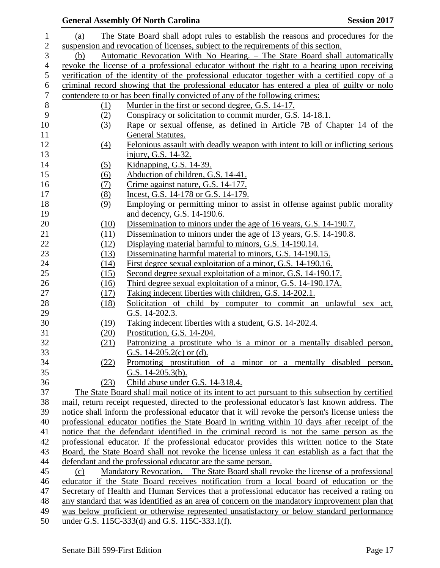|                  |                  | <b>General Assembly Of North Carolina</b><br><b>Session 2017</b>                                  |  |
|------------------|------------------|---------------------------------------------------------------------------------------------------|--|
| $\mathbf{1}$     | (a)              | The State Board shall adopt rules to establish the reasons and procedures for the                 |  |
| $\overline{c}$   |                  | suspension and revocation of licenses, subject to the requirements of this section.               |  |
| 3                | (b)              | Automatic Revocation With No Hearing. - The State Board shall automatically                       |  |
| $\overline{4}$   |                  | revoke the license of a professional educator without the right to a hearing upon receiving       |  |
| 5                |                  | verification of the identity of the professional educator together with a certified copy of a     |  |
| $\boldsymbol{6}$ |                  | criminal record showing that the professional educator has entered a plea of guilty or nolo       |  |
| $\tau$           |                  | contendere to or has been finally convicted of any of the following crimes:                       |  |
| $8\,$            | (1)              | Murder in the first or second degree, G.S. 14-17.                                                 |  |
| 9                | (2)              | Conspiracy or solicitation to commit murder, G.S. 14-18.1.                                        |  |
| 10               | (3)              | Rape or sexual offense, as defined in Article 7B of Chapter 14 of the                             |  |
| 11               |                  | <b>General Statutes.</b>                                                                          |  |
| 12               | $\left(4\right)$ | Felonious assault with deadly weapon with intent to kill or inflicting serious                    |  |
| 13               |                  | injury, G.S. 14-32.                                                                               |  |
| 14               | (5)              | Kidnapping, G.S. 14-39.                                                                           |  |
| 15               | (6)              | Abduction of children, G.S. 14-41.                                                                |  |
| 16               | (7)              | Crime against nature, G.S. 14-177.                                                                |  |
| 17               | (8)              | Incest, G.S. 14-178 or G.S. 14-179.                                                               |  |
| 18               | (9)              | Employing or permitting minor to assist in offense against public morality                        |  |
| 19               |                  | and decency, G.S. 14-190.6.                                                                       |  |
| 20               | (10)             | Dissemination to minors under the age of 16 years, G.S. 14-190.7.                                 |  |
| 21               | (11)             | Dissemination to minors under the age of 13 years, G.S. 14-190.8.                                 |  |
| 22               | (12)             | Displaying material harmful to minors, G.S. 14-190.14.                                            |  |
| 23               | (13)             | Disseminating harmful material to minors, G.S. 14-190.15.                                         |  |
| 24               | (14)             | First degree sexual exploitation of a minor, G.S. 14-190.16.                                      |  |
| 25               | (15)             | Second degree sexual exploitation of a minor, G.S. 14-190.17.                                     |  |
| 26               | (16)             | Third degree sexual exploitation of a minor, G.S. 14-190.17A.                                     |  |
| 27               | (17)             | Taking indecent liberties with children, G.S. 14-202.1.                                           |  |
| 28               | (18)             | Solicitation of child by computer to commit an unlawful sex act,                                  |  |
| 29               |                  | G.S. 14-202.3.                                                                                    |  |
| 30               | (19)             | Taking indecent liberties with a student, G.S. 14-202.4.                                          |  |
| 31               | (20)             | Prostitution, G.S. 14-204.                                                                        |  |
| 32               | (21)             | Patronizing a prostitute who is a minor or a mentally disabled person,                            |  |
| 33               |                  | G.S. 14-205.2(c) or (d).                                                                          |  |
| 34               | (22)             | <u>Promoting prostitution of a minor or a mentally disabled person,</u>                           |  |
| 35               |                  | G.S. $14-205.3(b)$ .                                                                              |  |
| 36               | (23)             | Child abuse under G.S. 14-318.4.                                                                  |  |
| 37               |                  | The State Board shall mail notice of its intent to act pursuant to this subsection by certified   |  |
| 38               |                  | mail, return receipt requested, directed to the professional educator's last known address. The   |  |
| 39               |                  | notice shall inform the professional educator that it will revoke the person's license unless the |  |
| 40               |                  | professional educator notifies the State Board in writing within 10 days after receipt of the     |  |
| 41               |                  | notice that the defendant identified in the criminal record is not the same person as the         |  |
| 42               |                  | professional educator. If the professional educator provides this written notice to the State     |  |
| 43               |                  | Board, the State Board shall not revoke the license unless it can establish as a fact that the    |  |
| 44               |                  | defendant and the professional educator are the same person.                                      |  |
| 45               | (c)              | Mandatory Revocation. - The State Board shall revoke the license of a professional                |  |
| 46               |                  | educator if the State Board receives notification from a local board of education or the          |  |
| 47               |                  | Secretary of Health and Human Services that a professional educator has received a rating on      |  |
| 48               |                  | any standard that was identified as an area of concern on the mandatory improvement plan that     |  |
| 49               |                  | was below proficient or otherwise represented unsatisfactory or below standard performance        |  |
| 50               |                  | under G.S. 115C-333(d) and G.S. 115C-333.1(f).                                                    |  |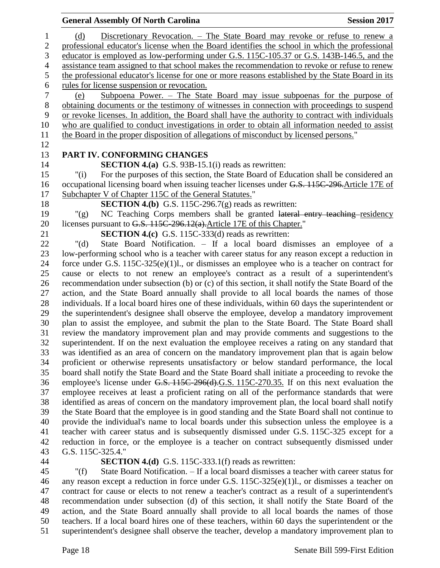#### **General Assembly Of North Carolina Session 2017**  (d) Discretionary Revocation. – The State Board may revoke or refuse to renew a professional educator's license when the Board identifies the school in which the professional educator is employed as low-performing under G.S. 115C-105.37 or G.S. 143B-146.5, and the assistance team assigned to that school makes the recommendation to revoke or refuse to renew the professional educator's license for one or more reasons established by the State Board in its rules for license suspension or revocation. (e) Subpoena Power. – The State Board may issue subpoenas for the purpose of obtaining documents or the testimony of witnesses in connection with proceedings to suspend or revoke licenses. In addition, the Board shall have the authority to contract with individuals who are qualified to conduct investigations in order to obtain all information needed to assist the Board in the proper disposition of allegations of misconduct by licensed persons." **PART IV. CONFORMING CHANGES SECTION 4.(a)** G.S. 93B-15.1(i) reads as rewritten: "(i) For the purposes of this section, the State Board of Education shall be considered an occupational licensing board when issuing teacher licenses under G.S. 115C-296.Article 17E of Subchapter V of Chapter 115C of the General Statutes." **SECTION 4.(b)** G.S. 115C-296.7(g) reads as rewritten: "(g) NC Teaching Corps members shall be granted lateral entry teaching residency 20 licenses pursuant to G.S. 115C-296.12(a). Article 17E of this Chapter." **SECTION 4.(c)** G.S. 115C-333(d) reads as rewritten: "(d) State Board Notification. – If a local board dismisses an employee of a low-performing school who is a teacher with career status for any reason except a reduction in force under G.S. 115C-325(e)(1)l., or dismisses an employee who is a teacher on contract for cause or elects to not renew an employee's contract as a result of a superintendent's recommendation under subsection (b) or (c) of this section, it shall notify the State Board of the action, and the State Board annually shall provide to all local boards the names of those individuals. If a local board hires one of these individuals, within 60 days the superintendent or the superintendent's designee shall observe the employee, develop a mandatory improvement plan to assist the employee, and submit the plan to the State Board. The State Board shall review the mandatory improvement plan and may provide comments and suggestions to the superintendent. If on the next evaluation the employee receives a rating on any standard that was identified as an area of concern on the mandatory improvement plan that is again below proficient or otherwise represents unsatisfactory or below standard performance, the local board shall notify the State Board and the State Board shall initiate a proceeding to revoke the employee's license under G.S. 115C-296(d).G.S. 115C-270.35. If on this next evaluation the employee receives at least a proficient rating on all of the performance standards that were identified as areas of concern on the mandatory improvement plan, the local board shall notify the State Board that the employee is in good standing and the State Board shall not continue to provide the individual's name to local boards under this subsection unless the employee is a teacher with career status and is subsequently dismissed under G.S. 115C-325 except for a reduction in force, or the employee is a teacher on contract subsequently dismissed under G.S. 115C-325.4." **SECTION 4.(d)** G.S. 115C-333.1(f) reads as rewritten:

 "(f) State Board Notification. – If a local board dismisses a teacher with career status for any reason except a reduction in force under G.S. 115C-325(e)(1)l., or dismisses a teacher on contract for cause or elects to not renew a teacher's contract as a result of a superintendent's recommendation under subsection (d) of this section, it shall notify the State Board of the action, and the State Board annually shall provide to all local boards the names of those teachers. If a local board hires one of these teachers, within 60 days the superintendent or the superintendent's designee shall observe the teacher, develop a mandatory improvement plan to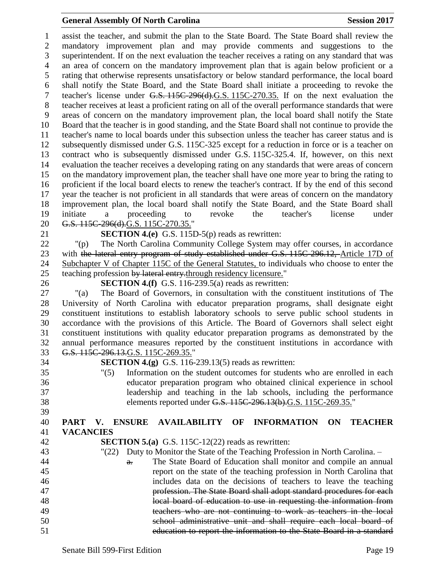#### **General Assembly Of North Carolina Session 2017**

 assist the teacher, and submit the plan to the State Board. The State Board shall review the mandatory improvement plan and may provide comments and suggestions to the superintendent. If on the next evaluation the teacher receives a rating on any standard that was an area of concern on the mandatory improvement plan that is again below proficient or a rating that otherwise represents unsatisfactory or below standard performance, the local board shall notify the State Board, and the State Board shall initiate a proceeding to revoke the teacher's license under G.S. 115C-296(d).G.S. 115C-270.35. If on the next evaluation the teacher receives at least a proficient rating on all of the overall performance standards that were areas of concern on the mandatory improvement plan, the local board shall notify the State Board that the teacher is in good standing, and the State Board shall not continue to provide the teacher's name to local boards under this subsection unless the teacher has career status and is subsequently dismissed under G.S. 115C-325 except for a reduction in force or is a teacher on contract who is subsequently dismissed under G.S. 115C-325.4. If, however, on this next evaluation the teacher receives a developing rating on any standards that were areas of concern on the mandatory improvement plan, the teacher shall have one more year to bring the rating to proficient if the local board elects to renew the teacher's contract. If by the end of this second year the teacher is not proficient in all standards that were areas of concern on the mandatory improvement plan, the local board shall notify the State Board, and the State Board shall initiate a proceeding to revoke the teacher's license under 20 G.S. 115C-296(d).G.S. 115C-270.35."

**SECTION 4.(e)** G.S. 115D-5(p) reads as rewritten:

 "(p) The North Carolina Community College System may offer courses, in accordance 23 with the lateral entry program of study established under G.S. 115C-296.12, Article 17D of Subchapter V of Chapter 115C of the General Statutes, to individuals who choose to enter the 25 teaching profession by lateral entry-through residency licensure."

**SECTION 4.(f)** G.S. 116-239.5(a) reads as rewritten:

 "(a) The Board of Governors, in consultation with the constituent institutions of The University of North Carolina with educator preparation programs, shall designate eight constituent institutions to establish laboratory schools to serve public school students in accordance with the provisions of this Article. The Board of Governors shall select eight constituent institutions with quality educator preparation programs as demonstrated by the annual performance measures reported by the constituent institutions in accordance with G.S. 115C-296.13.G.S. 115C-269.35."

**SECTION 4.(g)** G.S. 116-239.13(5) reads as rewritten:

 "(5) Information on the student outcomes for students who are enrolled in each educator preparation program who obtained clinical experience in school leadership and teaching in the lab schools, including the performance elements reported under G.S. 115C-296.13(b).G.S. 115C-269.35."

# **PART V. ENSURE AVAILABILITY OF INFORMATION ON TEACHER VACANCIES**

- **SECTION 5.(a)** G.S. 115C-12(22) reads as rewritten:
- "(22) Duty to Monitor the State of the Teaching Profession in North Carolina. –
- **a.** The State Board of Education shall monitor and compile an annual report on the state of the teaching profession in North Carolina that includes data on the decisions of teachers to leave the teaching profession. The State Board shall adopt standard procedures for each local board of education to use in requesting the information from teachers who are not continuing to work as teachers in the local school administrative unit and shall require each local board of education to report the information to the State Board in a standard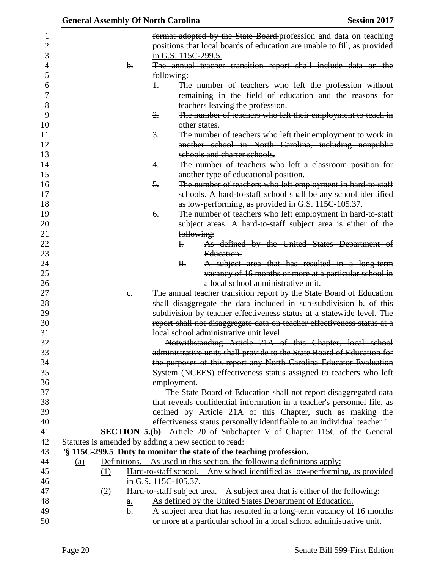|     |     |                |                  | <b>General Assembly Of North Carolina</b>            |                                                                                                                                               | <b>Session 2017</b> |
|-----|-----|----------------|------------------|------------------------------------------------------|-----------------------------------------------------------------------------------------------------------------------------------------------|---------------------|
|     |     |                |                  |                                                      | format adopted by the State Board profession and data on teaching                                                                             |                     |
|     |     |                |                  |                                                      | positions that local boards of education are unable to fill, as provided                                                                      |                     |
|     |     |                |                  | in G.S. 115C-299.5.                                  |                                                                                                                                               |                     |
|     |     | $\mathbf{b}$ . |                  |                                                      | The annual teacher transition report shall include data on the                                                                                |                     |
|     |     |                |                  | following:                                           |                                                                                                                                               |                     |
|     |     |                | $\ddagger$       |                                                      | The number of teachers who left the profession without                                                                                        |                     |
|     |     |                |                  |                                                      | remaining in the field of education and the reasons for                                                                                       |                     |
|     |     |                |                  |                                                      | teachers leaving the profession.                                                                                                              |                     |
|     |     |                | $\overline{2}$ . |                                                      | The number of teachers who left their employment to teach in                                                                                  |                     |
|     |     |                |                  | other states.                                        |                                                                                                                                               |                     |
|     |     |                | $\frac{3}{2}$ .  |                                                      | The number of teachers who left their employment to work in                                                                                   |                     |
|     |     |                |                  |                                                      | another school in North Carolina, including nonpublic                                                                                         |                     |
|     |     |                |                  |                                                      | schools and charter schools.                                                                                                                  |                     |
|     |     |                | 4.               |                                                      | The number of teachers who left a classroom position for                                                                                      |                     |
|     |     |                |                  |                                                      |                                                                                                                                               |                     |
|     |     |                |                  |                                                      | another type of educational position.                                                                                                         |                     |
|     |     |                | 5.               |                                                      | The number of teachers who left employment in hard to staff                                                                                   |                     |
|     |     |                |                  |                                                      | schools. A hard-to-staff school shall be any school identified                                                                                |                     |
|     |     |                |                  |                                                      | as low-performing, as provided in G.S. 115C-105.37.                                                                                           |                     |
|     |     |                | 6.               |                                                      | The number of teachers who left employment in hard-to-staff                                                                                   |                     |
|     |     |                |                  |                                                      | subject areas. A hard to staff subject area is either of the                                                                                  |                     |
|     |     |                |                  | following:                                           |                                                                                                                                               |                     |
|     |     |                |                  | $\mathbf{F}$                                         | As defined by the United States Department of                                                                                                 |                     |
|     |     |                |                  |                                                      | Education.                                                                                                                                    |                     |
|     |     |                |                  | H <sub>r</sub>                                       | A subject area that has resulted in a long-term                                                                                               |                     |
|     |     |                |                  |                                                      | vacancy of 16 months or more at a particular school in<br>a local school administrative unit.                                                 |                     |
|     |     |                |                  |                                                      |                                                                                                                                               |                     |
|     |     | $e_{i}$        |                  |                                                      | The annual teacher transition report by the State Board of Education                                                                          |                     |
|     |     |                |                  |                                                      | shall disaggregate the data included in sub-subdivision b. of this                                                                            |                     |
|     |     |                |                  |                                                      | subdivision by teacher effectiveness status at a statewide level. The                                                                         |                     |
|     |     |                |                  |                                                      | report shall not disaggregate data on teacher effectiveness status at a<br>local school administrative unit level.                            |                     |
|     |     |                |                  |                                                      |                                                                                                                                               |                     |
|     |     |                |                  |                                                      | Notwithstanding Article 21A of this Chapter, local school                                                                                     |                     |
|     |     |                |                  |                                                      | administrative units shall provide to the State Board of Education for                                                                        |                     |
|     |     |                |                  |                                                      | the purposes of this report any North Carolina Educator Evaluation<br>System (NCEES) effectiveness status assigned to teachers who left       |                     |
|     |     |                |                  |                                                      |                                                                                                                                               |                     |
|     |     |                |                  | employment.                                          |                                                                                                                                               |                     |
|     |     |                |                  |                                                      | The State Board of Education shall not report disaggregated data<br>that reveals confidential information in a teacher's personnel file, as   |                     |
|     |     |                |                  |                                                      |                                                                                                                                               |                     |
|     |     |                |                  |                                                      | defined by Article 21A of this Chapter, such as making the                                                                                    |                     |
|     |     |                |                  |                                                      | effectiveness status personally identifiable to an individual teacher."                                                                       |                     |
|     |     |                |                  |                                                      | <b>SECTION 5.(b)</b> Article 20 of Subchapter V of Chapter 115C of the General                                                                |                     |
|     |     |                |                  | Statutes is amended by adding a new section to read: |                                                                                                                                               |                     |
|     |     |                |                  |                                                      | "\\$\\frac{115C-299.5} Duty to monitor the state of the teaching profession.                                                                  |                     |
| (a) |     |                |                  |                                                      | Definitions. – As used in this section, the following definitions apply:                                                                      |                     |
|     | (1) |                |                  |                                                      | Hard-to-staff school. - Any school identified as low-performing, as provided                                                                  |                     |
|     |     |                |                  | in G.S. 115C-105.37.                                 |                                                                                                                                               |                     |
|     | (2) |                |                  |                                                      | <u>Hard-to-staff subject area. <math>- A</math> subject area that is either of the following:</u>                                             |                     |
|     |     | <u>a.</u>      |                  |                                                      | As defined by the United States Department of Education.                                                                                      |                     |
|     |     | <u>b.</u>      |                  |                                                      | A subject area that has resulted in a long-term vacancy of 16 months<br>or more at a particular school in a local school administrative unit. |                     |
|     |     |                |                  |                                                      |                                                                                                                                               |                     |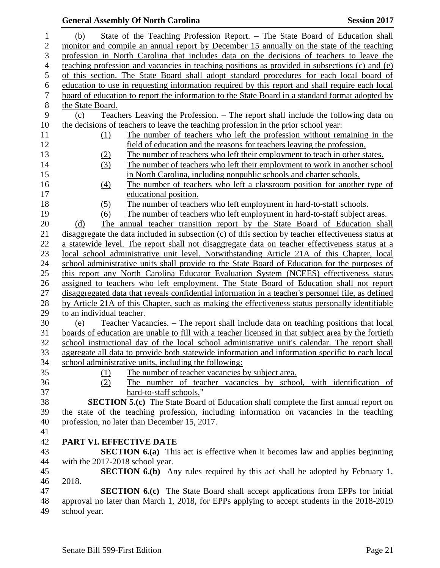|                  | <b>General Assembly Of North Carolina</b><br><b>Session 2017</b>                                                                                                                             |
|------------------|----------------------------------------------------------------------------------------------------------------------------------------------------------------------------------------------|
| $\mathbf{1}$     | State of the Teaching Profession Report. – The State Board of Education shall<br>(b)                                                                                                         |
| $\boldsymbol{2}$ | monitor and compile an annual report by December 15 annually on the state of the teaching                                                                                                    |
| 3                | profession in North Carolina that includes data on the decisions of teachers to leave the                                                                                                    |
| $\overline{4}$   | teaching profession and vacancies in teaching positions as provided in subsections (c) and (e)                                                                                               |
| 5                | of this section. The State Board shall adopt standard procedures for each local board of                                                                                                     |
| $\boldsymbol{6}$ | education to use in requesting information required by this report and shall require each local                                                                                              |
| $\boldsymbol{7}$ | board of education to report the information to the State Board in a standard format adopted by                                                                                              |
| $\,8\,$          | the State Board.                                                                                                                                                                             |
| 9                | Teachers Leaving the Profession. – The report shall include the following data on<br>(c)                                                                                                     |
| 10               | the decisions of teachers to leave the teaching profession in the prior school year:                                                                                                         |
| 11               | The number of teachers who left the profession without remaining in the<br>(1)                                                                                                               |
| 12               | field of education and the reasons for teachers leaving the profession.                                                                                                                      |
| 13               | The number of teachers who left their employment to teach in other states.<br>(2)                                                                                                            |
| 14               | (3)<br>The number of teachers who left their employment to work in another school                                                                                                            |
| 15               | in North Carolina, including nonpublic schools and charter schools.                                                                                                                          |
| 16               | The number of teachers who left a classroom position for another type of<br>(4)                                                                                                              |
| 17               | educational position.                                                                                                                                                                        |
| 18               | The number of teachers who left employment in hard-to-staff schools.<br>(5)                                                                                                                  |
| 19               | The number of teachers who left employment in hard-to-staff subject areas.<br>(6)                                                                                                            |
| 20               | The annual teacher transition report by the State Board of Education shall<br>(d)                                                                                                            |
| 21               | disaggregate the data included in subsection (c) of this section by teacher effectiveness status at                                                                                          |
| 22<br>23         | a statewide level. The report shall not disaggregate data on teacher effectiveness status at a<br>local school administrative unit level. Notwithstanding Article 21A of this Chapter, local |
| 24               | school administrative units shall provide to the State Board of Education for the purposes of                                                                                                |
| 25               | this report any North Carolina Educator Evaluation System (NCEES) effectiveness status                                                                                                       |
| 26               | assigned to teachers who left employment. The State Board of Education shall not report                                                                                                      |
| 27               | disaggregated data that reveals confidential information in a teacher's personnel file, as defined                                                                                           |
| 28               | by Article 21A of this Chapter, such as making the effectiveness status personally identifiable                                                                                              |
| 29               | to an individual teacher.                                                                                                                                                                    |
| 30               | Teacher Vacancies. – The report shall include data on teaching positions that local<br>(e)                                                                                                   |
| 31               | boards of education are unable to fill with a teacher licensed in that subject area by the fortieth                                                                                          |
| 32               | school instructional day of the local school administrative unit's calendar. The report shall                                                                                                |
| 33               | aggregate all data to provide both statewide information and information specific to each local                                                                                              |
| 34               | school administrative units, including the following:                                                                                                                                        |
| 35               | The number of teacher vacancies by subject area.<br>(1)                                                                                                                                      |
| 36               | The number of teacher vacancies by school, with identification of<br>(2)                                                                                                                     |
| 37               | hard-to-staff schools."                                                                                                                                                                      |
| 38               | <b>SECTION 5.(c)</b> The State Board of Education shall complete the first annual report on                                                                                                  |
| 39               | the state of the teaching profession, including information on vacancies in the teaching                                                                                                     |
| 40               | profession, no later than December 15, 2017.                                                                                                                                                 |
| 41               |                                                                                                                                                                                              |
| 42<br>43         | PART VI. EFFECTIVE DATE<br><b>SECTION 6.(a)</b> This act is effective when it becomes law and applies beginning                                                                              |
| 44               | with the 2017-2018 school year.                                                                                                                                                              |
| 45               | <b>SECTION 6.(b)</b> Any rules required by this act shall be adopted by February 1,                                                                                                          |
| 46               | 2018.                                                                                                                                                                                        |
| 47               | <b>SECTION 6.(c)</b> The State Board shall accept applications from EPPs for initial                                                                                                         |
| 48               | approval no later than March 1, 2018, for EPPs applying to accept students in the 2018-2019                                                                                                  |
| 49               | school year.                                                                                                                                                                                 |